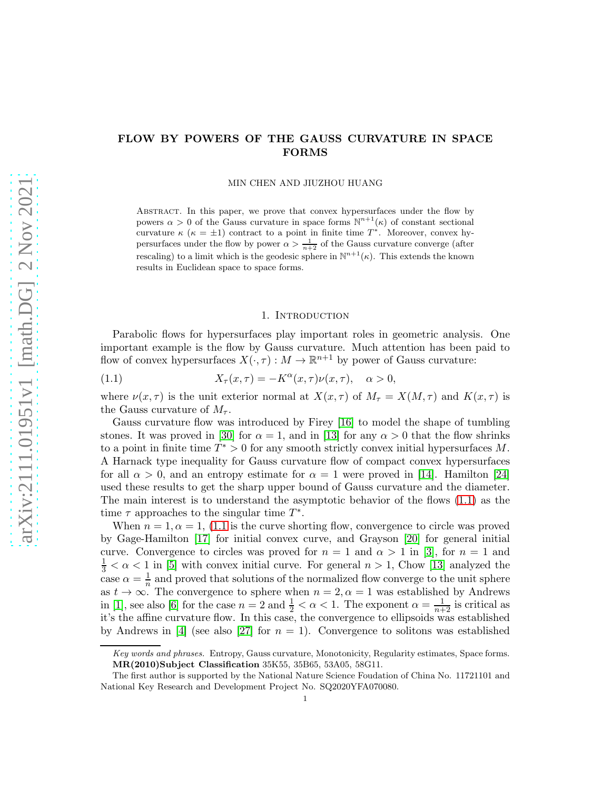# FLOW BY POWERS OF THE GAUSS CURVATURE IN SPACE FORMS

MIN CHEN AND JIUZHOU HUANG

Abstract. In this paper, we prove that convex hypersurfaces under the flow by powers  $\alpha > 0$  of the Gauss curvature in space forms  $\mathbb{N}^{n+1}(\kappa)$  of constant sectional curvature  $\kappa$  ( $\kappa = \pm 1$ ) contract to a point in finite time  $T^*$ . Moreover, convex hypersurfaces under the flow by power  $\alpha > \frac{1}{n+2}$  of the Gauss curvature converge (after rescaling) to a limit which is the geodesic sphere in  $\mathbb{N}^{n+1}(\kappa)$ . This extends the known results in Euclidean space to space forms.

#### <span id="page-0-0"></span>1. INTRODUCTION

Parabolic flows for hypersurfaces play important roles in geometric analysis. One important example is the flow by Gauss curvature. Much attention has been paid to flow of convex hypersurfaces  $X(\cdot, \tau) : M \to \mathbb{R}^{n+1}$  by power of Gauss curvature:

(1.1) 
$$
X_{\tau}(x,\tau) = -K^{\alpha}(x,\tau)\nu(x,\tau), \quad \alpha > 0,
$$

where  $\nu(x, \tau)$  is the unit exterior normal at  $X(x, \tau)$  of  $M_{\tau} = X(M, \tau)$  and  $K(x, \tau)$  is the Gauss curvature of  $M_{\tau}$ .

Gauss curvature flow was introduced by Firey [\[16\]](#page-22-0) to model the shape of tumbling stones. It was proved in [\[30\]](#page-23-0) for  $\alpha = 1$ , and in [13] for any  $\alpha > 0$  that the flow shrinks to a point in finite time  $T^* > 0$  for any smooth strictly convex initial hypersurfaces M. A Harnack type inequality for Gauss curvature flow of compact convex hypersurfaces for all  $\alpha > 0$ , and an entropy estimate for  $\alpha = 1$  were proved in [14]. Hamilton [\[24\]](#page-23-1) used these results to get the sharp upper bound of Gauss curvature and the diameter. The main interest is to understand the asymptotic behavior of the flows [\(1.1\)](#page-0-0) as the time  $\tau$  approaches to the singular time  $T^*$ .

When  $n = 1, \alpha = 1$ , [\(1.1](#page-0-0) is the curve shorting flow, convergence to circle was proved by Gage-Hamilton [\[17\]](#page-22-1) for initial convex curve, and Grayson [\[20\]](#page-23-2) for general initial curve. Convergence to circles was proved for  $n = 1$  and  $\alpha > 1$  in [\[3\]](#page-22-2), for  $n = 1$  and  $\frac{1}{3} < \alpha < 1$  in [\[5\]](#page-22-3) with convex initial curve. For general  $n > 1$ , Chow [13] analyzed the case  $\alpha = \frac{1}{n}$  and proved that solutions of the normalized flow converge to the unit sphere as  $t \to \infty$ . The convergence to sphere when  $n = 2, \alpha = 1$  was established by Andrews in [1], see also [\[6\]](#page-22-4) for the case  $n = 2$  and  $\frac{1}{2} < \alpha < 1$ . The exponent  $\alpha = \frac{1}{n+2}$  is critical as it's the affine curvature flow. In this case, the convergence to ellipsoids was established by Andrews in [\[4\]](#page-22-5) (see also [\[27\]](#page-23-3) for  $n = 1$ ). Convergence to solitons was established

Key words and phrases. Entropy, Gauss curvature, Monotonicity, Regularity estimates, Space forms. MR(2010)Subject Classification 35K55, 35B65, 53A05, 58G11.

The first author is supported by the National Nature Science Foudation of China No. 11721101 and National Key Research and Development Project No. SQ2020YFA070080.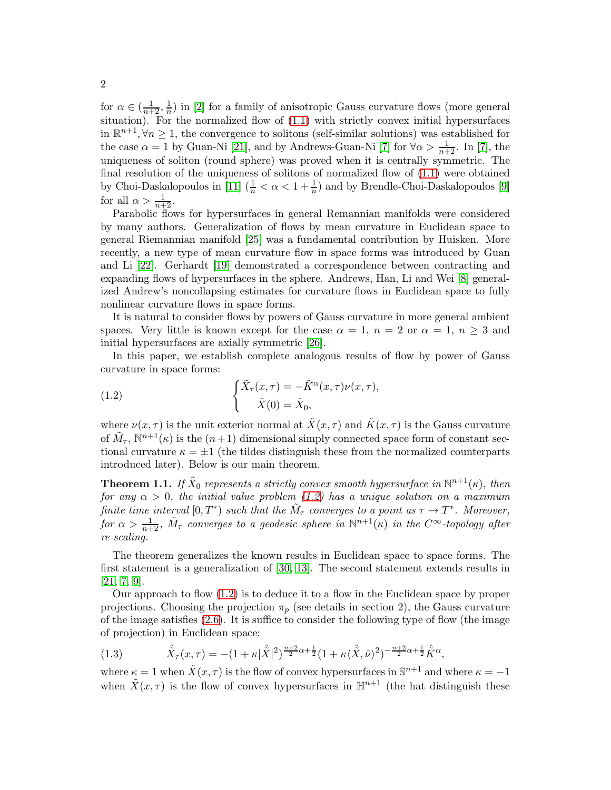for  $\alpha \in (\frac{1}{n+2}, \frac{1}{n})$  in [2] for a family of anisotropic Gauss curvature flows (more general situation). For the normalized flow of  $(1.1)$  with strictly convex initial hypersurfaces in  $\mathbb{R}^{n+1}, \forall n \geq 1$ , the convergence to solitons (self-similar solutions) was established for the case  $\alpha = 1$  by Guan-Ni [\[21\]](#page-23-4), and by Andrews-Guan-Ni [\[7\]](#page-22-6) for  $\forall \alpha > \frac{1}{n+2}$ . In [7], the uniqueness of soliton (round sphere) was proved when it is centrally symmetric. The final resolution of the uniqueness of solitons of normalized flow of [\(1.1\)](#page-0-0) were obtained by Choi-Daskalopoulos in [\[11\]](#page-22-7)  $(\frac{1}{n} < \alpha < 1 + \frac{1}{n})$  and by Brendle-Choi-Daskalopoulos [\[9\]](#page-22-8) for all  $\alpha > \frac{1}{n+2}$ .

Parabolic flows for hypersurfaces in general Remannian manifolds were considered by many authors. Generalization of flows by mean curvature in Euclidean space to general Riemannian manifold [\[25\]](#page-23-5) was a fundamental contribution by Huisken. More recently, a new type of mean curvature flow in space forms was introduced by Guan and Li [\[22\]](#page-23-6). Gerhardt [19] demonstrated a correspondence between contracting and expanding flows of hypersurfaces in the sphere. Andrews, Han, Li and Wei [\[8\]](#page-22-9) generalized Andrew's noncollapsing estimates for curvature flows in Euclidean space to fully nonlinear curvature flows in space forms.

It is natural to consider flows by powers of Gauss curvature in more general ambient spaces. Very little is known except for the case  $\alpha = 1$ ,  $n = 2$  or  $\alpha = 1$ ,  $n \geq 3$  and initial hypersurfaces are axially symmetric [\[26\]](#page-23-7).

In this paper, we establish complete analogous results of flow by power of Gauss curvature in space forms:

<span id="page-1-0"></span>(1.2) 
$$
\begin{cases} \tilde{X}_{\tau}(x,\tau) = -\tilde{K}^{\alpha}(x,\tau)\nu(x,\tau), \\ \tilde{X}(0) = \tilde{X}_{0}, \end{cases}
$$

where  $\nu(x, \tau)$  is the unit exterior normal at  $\tilde{X}(x, \tau)$  and  $\tilde{K}(x, \tau)$  is the Gauss curvature of  $\tilde{M}_{\tau}$ ,  $\mathbb{N}^{n+1}(\kappa)$  is the  $(n+1)$  dimensional simply connected space form of constant sectional curvature  $\kappa = \pm 1$  (the tildes distinguish these from the normalized counterparts introduced later). Below is our main theorem.

<span id="page-1-1"></span>**Theorem 1.1.** If  $\tilde{X}_0$  represents a strictly convex smooth hypersurface in  $\mathbb{N}^{n+1}(\kappa)$ , then for any  $\alpha > 0$ , the initial value problem [\(1.2\)](#page-1-0) has a unique solution on a maximum finite time interval  $[0, T^*)$  such that the  $\tilde{M}_{\tau}$  converges to a point as  $\tau \to T^*$ . Moreover, for  $\alpha > \frac{1}{n+2}$ ,  $\tilde{M}_{\tau}$  converges to a geodesic sphere in  $\mathbb{N}^{n+1}(\kappa)$  in the  $C^{\infty}$ -topology after re-scaling.

The theorem generalizes the known results in Euclidean space to space forms. The first statement is a generalization of [\[30,](#page-23-0) 13]. The second statement extends results in [\[21,](#page-23-4) [7,](#page-22-6) [9\]](#page-22-8).

Our approach to flow [\(1.2\)](#page-1-0) is to deduce it to a flow in the Euclidean space by proper projections. Choosing the projection  $\pi_p$  (see details in section 2), the Gauss curvature of the image satisfies [\(2.6\)](#page-3-0). It is suffice to consider the following type of flow (the image of projection) in Euclidean space:

(1.3) 
$$
\hat{\tilde{X}}_{\tau}(x,\tau) = -(1+\kappa|\hat{\tilde{X}}|^2)^{\frac{n+2}{2}\alpha+\frac{1}{2}}(1+\kappa\langle\hat{\tilde{X}},\hat{\nu}\rangle^2)^{-\frac{n+2}{2}\alpha+\frac{1}{2}}\hat{\tilde{K}}^{\alpha},
$$

where  $\kappa = 1$  when  $\tilde{X}(x, \tau)$  is the flow of convex hypersurfaces in  $\mathbb{S}^{n+1}$  and where  $\kappa = -1$ when  $\tilde{X}(x, \tau)$  is the flow of convex hypersurfaces in  $\mathbb{H}^{n+1}$  (the hat distinguish these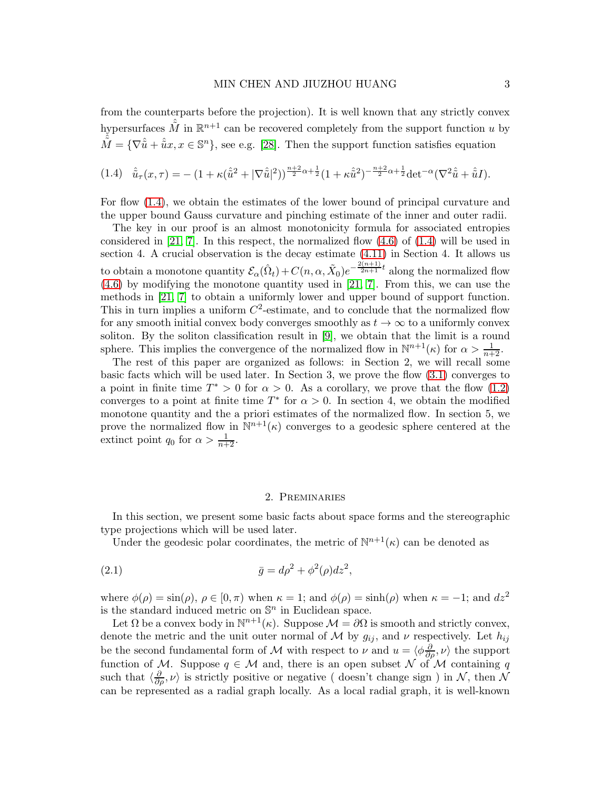from the counterparts before the projection). It is well known that any strictly convex hypersurfaces  $\hat{\tilde{M}}$  in  $\mathbb{R}^{n+1}$  can be recovered completely from the support function u by  $\hat{\tilde{M}} = {\nabla \hat{u} + \hat{u}x, x \in \mathbb{S}^n}$ , see e.g. [\[28\]](#page-23-8). Then the support function satisfies equation

<span id="page-2-0"></span>
$$
(1.4) \quad \hat{\tilde{u}}_{\tau}(x,\tau) = -\left(1 + \kappa(\hat{\tilde{u}}^2 + |\nabla \hat{\tilde{u}}|^2)\right)^{\frac{n+2}{2}\alpha + \frac{1}{2}}\left(1 + \kappa \hat{\tilde{u}}^2\right)^{-\frac{n+2}{2}\alpha + \frac{1}{2}}\det^{-\alpha}(\nabla^2 \hat{\tilde{u}} + \hat{\tilde{u}}I).
$$

For flow [\(1.4\)](#page-2-0), we obtain the estimates of the lower bound of principal curvature and the upper bound Gauss curvature and pinching estimate of the inner and outer radii.

The key in our proof is an almost monotonicity formula for associated entropies considered in [\[21,](#page-23-4) [7\]](#page-22-6). In this respect, the normalized flow  $(4.6)$  of  $(1.4)$  will be used in section 4. A crucial observation is the decay estimate [\(4.11\)](#page-12-0) in Section 4. It allows us to obtain a monotone quantity  $\mathcal{E}_{\alpha}(\hat{\Omega}_t) + C(n, \alpha, \tilde{X}_0)e^{-\frac{2(n+1)}{2n+1}t}$  along the normalized flow [\(4.6\)](#page-11-0) by modifying the monotone quantity used in [\[21,](#page-23-4) [7\]](#page-22-6). From this, we can use the methods in [\[21,](#page-23-4) [7\]](#page-22-6) to obtain a uniformly lower and upper bound of support function. This in turn implies a uniform  $C^2$ -estimate, and to conclude that the normalized flow for any smooth initial convex body converges smoothly as  $t \to \infty$  to a uniformly convex soliton. By the soliton classification result in [\[9\]](#page-22-8), we obtain that the limit is a round sphere. This implies the convergence of the normalized flow in  $\mathbb{N}^{n+1}(\kappa)$  for  $\alpha > \frac{1}{n+2}$ .

The rest of this paper are organized as follows: in Section 2, we will recall some basic facts which will be used later. In Section 3, we prove the flow [\(3.1\)](#page-6-0) converges to a point in finite time  $T^* > 0$  for  $\alpha > 0$ . As a corollary, we prove that the flow [\(1.2\)](#page-1-0) converges to a point at finite time  $T^*$  for  $\alpha > 0$ . In section 4, we obtain the modified monotone quantity and the a priori estimates of the normalized flow. In section 5, we prove the normalized flow in  $\mathbb{N}^{n+1}(\kappa)$  converges to a geodesic sphere centered at the extinct point  $q_0$  for  $\alpha > \frac{1}{n+2}$ .

#### 2. Preminaries

In this section, we present some basic facts about space forms and the stereographic type projections which will be used later.

Under the geodesic polar coordinates, the metric of  $\mathbb{N}^{n+1}(\kappa)$  can be denoted as

$$
\bar{g} = d\rho^2 + \phi^2(\rho)dz^2,
$$

where  $\phi(\rho) = \sin(\rho)$ ,  $\rho \in [0, \pi)$  when  $\kappa = 1$ ; and  $\phi(\rho) = \sinh(\rho)$  when  $\kappa = -1$ ; and  $dz^2$ is the standard induced metric on  $\mathbb{S}^n$  in Euclidean space.

Let  $\Omega$  be a convex body in  $\mathbb{N}^{n+1}(\kappa)$ . Suppose  $\mathcal{M} = \partial \Omega$  is smooth and strictly convex, denote the metric and the unit outer normal of M by  $g_{ij}$ , and  $\nu$  respectively. Let  $h_{ij}$ be the second fundamental form of M with respect to  $\nu$  and  $u = \langle \phi \frac{\partial}{\partial \rho}, \nu \rangle$  the support function of M. Suppose  $q \in M$  and, there is an open subset N of M containing q such that  $\langle \frac{\partial}{\partial \rho}, \nu \rangle$  is strictly positive or negative (doesn't change sign) in  $\mathcal{N}$ , then  $\mathcal{N}$ can be represented as a radial graph locally. As a local radial graph, it is well-known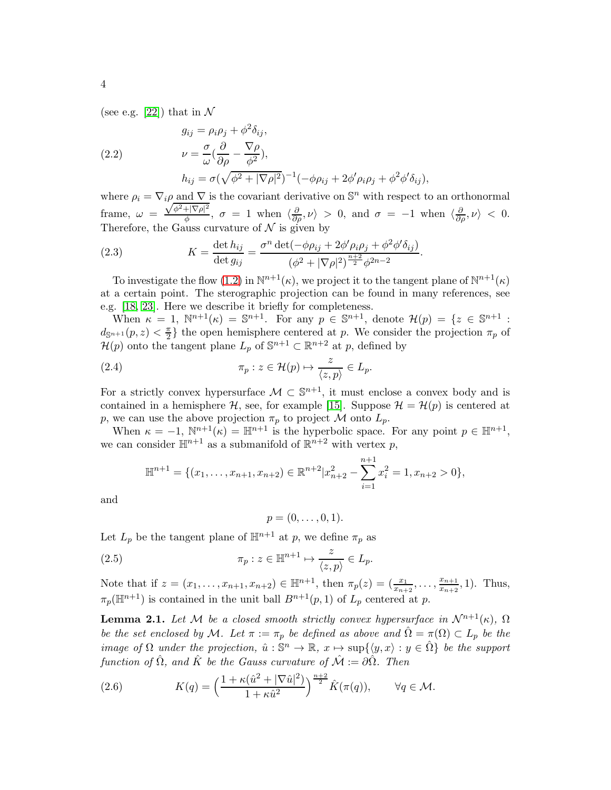(see e.g. [\[22\]](#page-23-6)) that in  $\mathcal N$ 

<span id="page-3-1"></span>(2.2) 
$$
g_{ij} = \rho_i \rho_j + \phi^2 \delta_{ij},
$$

$$
\nu = \frac{\sigma}{\omega} \left( \frac{\partial}{\partial \rho} - \frac{\nabla \rho}{\phi^2} \right),
$$

$$
h_{ij} = \sigma \left( \sqrt{\phi^2 + |\nabla \rho|^2} \right)^{-1} \left( -\phi \rho_{ij} + 2\phi' \rho_i \rho_j + \phi^2 \phi' \delta_{ij} \right),
$$

where  $\rho_i = \nabla_i \rho$  and  $\nabla$  is the covariant derivative on  $\mathbb{S}^n$  with respect to an orthonormal frame,  $\omega =$  $\sqrt{\phi^2+|\nabla\rho|^2}$  $\frac{\partial f}{\partial \phi}$ ,  $\sigma = 1$  when  $\langle \frac{\partial}{\partial \rho}, \nu \rangle > 0$ , and  $\sigma = -1$  when  $\langle \frac{\partial}{\partial \rho}, \nu \rangle < 0$ . Therefore, the Gauss curvature of  $N$  is given by

<span id="page-3-2"></span>(2.3) 
$$
K = \frac{\det h_{ij}}{\det g_{ij}} = \frac{\sigma^n \det(-\phi \rho_{ij} + 2\phi' \rho_i \rho_j + \phi^2 \phi' \delta_{ij})}{(\phi^2 + |\nabla \rho|^2)^{\frac{n+2}{2}} \phi^{2n-2}}.
$$

To investigate the flow [\(1.2\)](#page-1-0) in  $\mathbb{N}^{n+1}(\kappa)$ , we project it to the tangent plane of  $\mathbb{N}^{n+1}(\kappa)$ at a certain point. The sterographic projection can be found in many references, see e.g. [18, [23\]](#page-23-9). Here we describe it briefly for completeness.

When  $\kappa = 1$ ,  $\mathbb{N}^{n+1}(\kappa) = \mathbb{S}^{n+1}$ . For any  $p \in \mathbb{S}^{n+1}$ , denote  $\mathcal{H}(p) = \{z \in \mathbb{S}^{n+1}$ :  $d_{\mathbb{S}^{n+1}}(p,z) < \frac{\pi}{2}$  $\frac{\pi}{2}$  the open hemisphere centered at p. We consider the projection  $\pi_p$  of  $\mathcal{H}(p)$  onto the tangent plane  $L_p$  of  $\mathbb{S}^{n+1} \subset \mathbb{R}^{n+2}$  at  $p$ , defined by

(2.4) 
$$
\pi_p : z \in \mathcal{H}(p) \mapsto \frac{z}{\langle z, p \rangle} \in L_p.
$$

For a strictly convex hypersurface  $\mathcal{M} \subset \mathbb{S}^{n+1}$ , it must enclose a convex body and is contained in a hemisphere H, see, for example [\[15\]](#page-22-10). Suppose  $\mathcal{H} = \mathcal{H}(p)$  is centered at p, we can use the above projection  $\pi_p$  to project  $\mathcal M$  onto  $L_p$ .

When  $\kappa = -1$ ,  $\mathbb{N}^{n+1}(\kappa) = \mathbb{H}^{n+1}$  is the hyperbolic space. For any point  $p \in \mathbb{H}^{n+1}$ , we can consider  $\mathbb{H}^{n+1}$  as a submanifold of  $\mathbb{R}^{n+2}$  with vertex p,

$$
\mathbb{H}^{n+1} = \{(x_1, \ldots, x_{n+1}, x_{n+2}) \in \mathbb{R}^{n+2} | x_{n+2}^2 - \sum_{i=1}^{n+1} x_i^2 = 1, x_{n+2} > 0 \},\
$$

and

 $p = (0, \ldots, 0, 1).$ 

Let  $L_p$  be the tangent plane of  $\mathbb{H}^{n+1}$  at p, we define  $\pi_p$  as

(2.5) 
$$
\pi_p : z \in \mathbb{H}^{n+1} \mapsto \frac{z}{\langle z, p \rangle} \in L_p.
$$

Note that if  $z = (x_1, \ldots, x_{n+1}, x_{n+2}) \in \mathbb{H}^{n+1}$ , then  $\pi_p(z) = (\frac{x_1}{x_{n+2}}, \ldots, \frac{x_{n+1}}{x_{n+2}})$  $\frac{x_{n+1}}{x_{n+2}}, 1$ ). Thus,  $\pi_p(\mathbb{H}^{n+1})$  is contained in the unit ball  $B^{n+1}(p, 1)$  of  $L_p$  centered at p.

<span id="page-3-3"></span>**Lemma 2.1.** Let M be a closed smooth strictly convex hypersurface in  $\mathcal{N}^{n+1}(\kappa)$ ,  $\Omega$ be the set enclosed by M. Let  $\pi := \pi_p$  be defined as above and  $\Omega = \pi(\Omega) \subset L_p$  be the image of  $\Omega$  under the projection,  $\hat{u}: \mathbb{S}^n \to \mathbb{R}$ ,  $x \mapsto \sup\{\langle y, x \rangle : y \in \hat{\Omega}\}\)$  be the support function of  $\hat{\Omega}$ , and  $\hat{K}$  be the Gauss curvature of  $\hat{\mathcal{M}} := \partial \hat{\Omega}$ . Then

<span id="page-3-0"></span>(2.6) 
$$
K(q) = \left(\frac{1 + \kappa(\hat{u}^2 + |\nabla \hat{u}|^2)}{1 + \kappa \hat{u}^2}\right)^{\frac{n+2}{2}} \hat{K}(\pi(q)), \qquad \forall q \in \mathcal{M}.
$$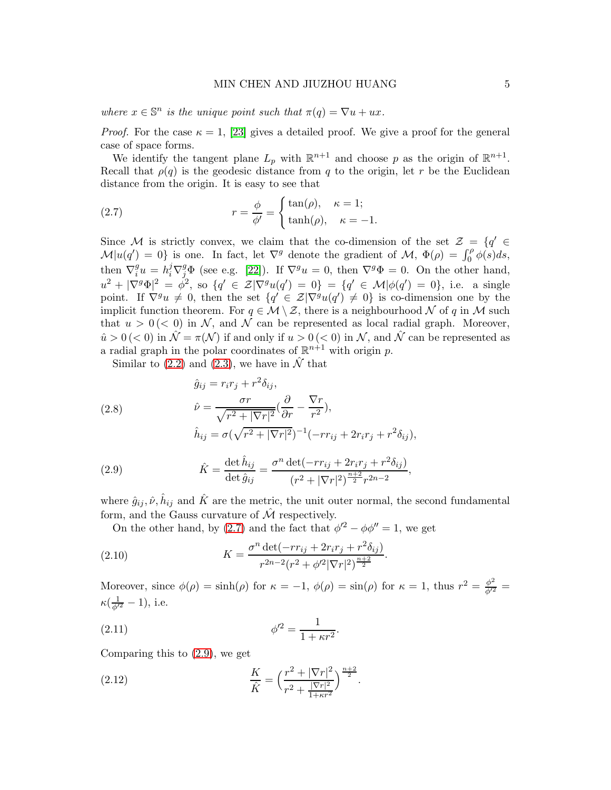where  $x \in \mathbb{S}^n$  is the unique point such that  $\pi(q) = \nabla u + ux$ .

*Proof.* For the case  $\kappa = 1$ , [\[23\]](#page-23-9) gives a detailed proof. We give a proof for the general case of space forms.

We identify the tangent plane  $L_p$  with  $\mathbb{R}^{n+1}$  and choose p as the origin of  $\mathbb{R}^{n+1}$ . Recall that  $\rho(q)$  is the geodesic distance from q to the origin, let r be the Euclidean distance from the origin. It is easy to see that

<span id="page-4-0"></span>(2.7) 
$$
r = \frac{\phi}{\phi'} = \begin{cases} \tan(\rho), & \kappa = 1; \\ \tanh(\rho), & \kappa = -1. \end{cases}
$$

Since M is strictly convex, we claim that the co-dimension of the set  $\mathcal{Z} = \{q' \in \mathcal{Z} : q' \in \mathcal{Z}\}$  $\mathcal{M}|u(q')=0$  is one. In fact, let  $\nabla^g$  denote the gradient of  $\mathcal{M}, \ \Phi(\rho) = \int_0^{\rho} \phi(s) ds$ , then  $\nabla_i^g$  $e_i^gu = h_i^j \nabla_j^g \Phi$  (see e.g. [\[22\]](#page-23-6)). If  $\nabla^g u = 0$ , then  $\nabla^g \Phi = 0$ . On the other hand,  $u^2 + |\nabla^g \Phi|^2 = \phi^2$ , so  $\{q' \in \mathcal{Z} | \nabla^g u(q') = 0\} = \{q' \in \mathcal{M} | \phi(q') = 0\}$ , i.e. a single point. If  $\nabla^g u \neq 0$ , then the set  $\{q' \in \mathcal{Z} | \nabla^g u(q') \neq 0\}$  is co-dimension one by the implicit function theorem. For  $q \in \mathcal{M} \setminus \mathcal{Z}$ , there is a neighbourhood  $\mathcal N$  of q in  $\mathcal M$  such that  $u > 0 \, (< 0)$  in N, and N can be represented as local radial graph. Moreover,  $\hat{u} > 0 \, (< 0$ ) in  $\hat{\mathcal{N}} = \pi(\mathcal{N})$  if and only if  $u > 0 \, (< 0$ ) in  $\mathcal{N}$ , and  $\hat{\mathcal{N}}$  can be represented as a radial graph in the polar coordinates of  $\mathbb{R}^{n+1}$  with origin p.

Similar to [\(2.2\)](#page-3-1) and [\(2.3\)](#page-3-2), we have in  $\hat{\mathcal{N}}$  that

(2.8)  
\n
$$
\hat{g}_{ij} = r_i r_j + r^2 \delta_{ij},
$$
\n
$$
\hat{\nu} = \frac{\sigma r}{\sqrt{r^2 + |\nabla r|^2}} (\frac{\partial}{\partial r} - \frac{\nabla r}{r^2}),
$$
\n
$$
\hat{h}_{ij} = \sigma (\sqrt{r^2 + |\nabla r|^2})^{-1} (-r r_{ij} + 2r_i r_j + r^2 \delta_{ij}),
$$

<span id="page-4-1"></span>(2.9) 
$$
\hat{K} = \frac{\det \hat{h}_{ij}}{\det \hat{g}_{ij}} = \frac{\sigma^n \det(-r r_{ij} + 2r_i r_j + r^2 \delta_{ij})}{(r^2 + |\nabla r|^2)^{\frac{n+2}{2}} r^{2n-2}},
$$

where  $\hat{g}_{ij}, \hat{\nu}, \hat{h}_{ij}$  and  $\hat{K}$  are the metric, the unit outer normal, the second fundamental form, and the Gauss curvature of  $\hat{\mathcal{M}}$  respectively.

On the other hand, by [\(2.7\)](#page-4-0) and the fact that  $\phi'^2 - \phi \phi'' = 1$ , we get

(2.10) 
$$
K = \frac{\sigma^n \det(-rr_{ij} + 2r_i r_j + r^2 \delta_{ij})}{r^{2n-2} (r^2 + \phi'^2 |\nabla r|^2)^{\frac{n+2}{2}}}.
$$

Moreover, since  $\phi(\rho) = \sinh(\rho)$  for  $\kappa = -1$ ,  $\phi(\rho) = \sin(\rho)$  for  $\kappa = 1$ , thus  $r^2 = \frac{\phi^2}{\phi'^2} =$  $\kappa(\frac{1}{\phi^{\prime 2}}-1)$ , i.e.

(2.11) 
$$
\phi'^2 = \frac{1}{1 + \kappa r^2}.
$$

Comparing this to [\(2.9\)](#page-4-1), we get

<span id="page-4-2"></span>(2.12) 
$$
\frac{K}{\hat{K}} = \left(\frac{r^2 + |\nabla r|^2}{r^2 + \frac{|\nabla r|^2}{1 + \kappa r^2}}\right)^{\frac{n+2}{2}}.
$$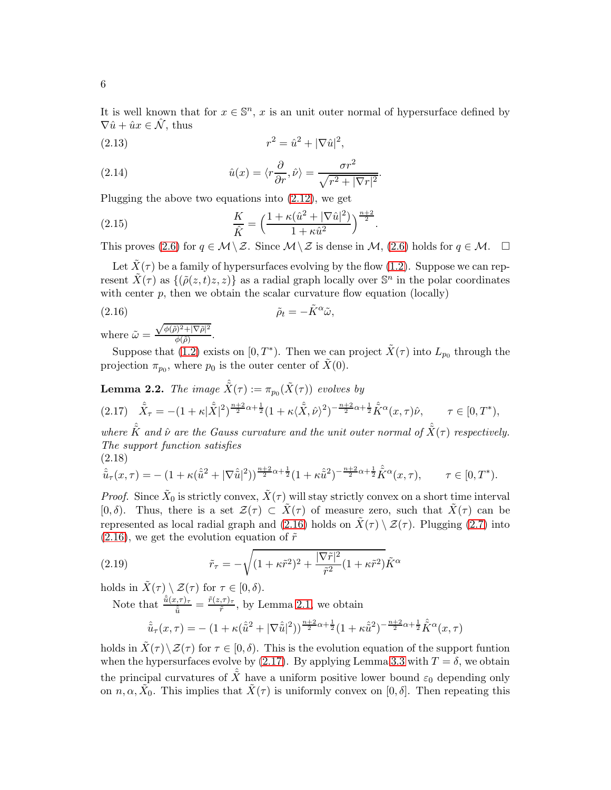It is well known that for  $x \in \mathbb{S}^n$ , x is an unit outer normal of hypersurface defined by  $\nabla \hat{u} + \hat{u}x \in \hat{\mathcal{N}}$ , thus

(2.13) 
$$
r^2 = \hat{u}^2 + |\nabla \hat{u}|^2,
$$

(2.14) 
$$
\hat{u}(x) = \langle r \frac{\partial}{\partial r}, \hat{\nu} \rangle = \frac{\sigma r^2}{\sqrt{r^2 + |\nabla r|^2}}.
$$

Plugging the above two equations into [\(2.12\)](#page-4-2), we get

(2.15) 
$$
\frac{K}{\hat{K}} = \left(\frac{1 + \kappa(\hat{u}^2 + |\nabla \hat{u}|^2)}{1 + \kappa \hat{u}^2}\right)^{\frac{n+2}{2}}.
$$

This proves [\(2.6\)](#page-3-0) for  $q \in \mathcal{M} \setminus \mathcal{Z}$ . Since  $\mathcal{M} \setminus \mathcal{Z}$  is dense in  $\mathcal{M}$ , (2.6) holds for  $q \in \mathcal{M}$ .  $\Box$ 

Let  $\tilde{X}(\tau)$  be a family of hypersurfaces evolving by the flow [\(1.2\)](#page-1-0). Suppose we can represent  $\tilde{X}(\tau)$  as  $\{(\tilde{\rho}(z,t)z,z)\}\)$  as a radial graph locally over  $\mathbb{S}^n$  in the polar coordinates with center  $p$ , then we obtain the scalar curvature flow equation (locally)

<span id="page-5-0"></span>(2.16) 
$$
\tilde{\rho}_t = -\tilde{K}^{\alpha}\tilde{\omega},
$$

where  $\tilde{\omega} = \frac{\sqrt{\phi(\tilde{\rho})^2 + |\nabla \tilde{\rho}|^2}}{\phi(\tilde{\rho})}$  $\frac{\partial f}{\partial \phi(\tilde{\rho})}$ .

Suppose that [\(1.2\)](#page-1-0) exists on  $[0, T^*)$ . Then we can project  $\tilde{X}(\tau)$  into  $L_{p_0}$  through the projection  $\pi_{p_0}$ , where  $p_0$  is the outer center of  $\tilde{X}(0)$ .

<span id="page-5-3"></span>**Lemma 2.2.** The image  $\hat{\tilde{X}}(\tau) := \pi_{p_0}(\tilde{X}(\tau))$  evolves by

<span id="page-5-1"></span>
$$
(2.17)\quad \hat{\tilde{X}}_{\tau} = -(1+\kappa|\hat{\tilde{X}}|^2)^{\frac{n+2}{2}\alpha+\frac{1}{2}}(1+\kappa\langle \hat{\tilde{X}}, \hat{\nu} \rangle^2)^{-\frac{n+2}{2}\alpha+\frac{1}{2}}\hat{\tilde{K}}^{\alpha}(x,\tau)\hat{\nu}, \qquad \tau \in [0,T^*),
$$

where  $\hat{\tilde{K}}$  and  $\hat{\nu}$  are the Gauss curvature and the unit outer normal of  $\hat{\tilde{X}}(\tau)$  respectively. The support function satisfies (2.18)

<span id="page-5-2"></span>
$$
\hat{\tilde{u}}_{\tau}(x,\tau) = -(1+\kappa(\hat{\tilde{u}}^2+|\nabla\hat{\tilde{u}}|^2))^{\frac{n+2}{2}\alpha+\frac{1}{2}}(1+\kappa\hat{\tilde{u}}^2)^{-\frac{n+2}{2}\alpha+\frac{1}{2}}\hat{K}^{\alpha}(x,\tau), \qquad \tau \in [0,T^*).
$$

*Proof.* Since  $\tilde{X}_0$  is strictly convex,  $\tilde{X}(\tau)$  will stay strictly convex on a short time interval [0,  $\delta$ ). Thus, there is a set  $\mathcal{Z}(\tau) \subset \tilde{X}(\tau)$  of measure zero, such that  $\tilde{X}(\tau)$  can be represented as local radial graph and [\(2.16\)](#page-5-0) holds on  $\tilde{X}(\tau) \setminus \mathcal{Z}(\tau)$ . Plugging [\(2.7\)](#page-4-0) into  $(2.16)$ , we get the evolution equation of  $\tilde{r}$ 

(2.19) 
$$
\tilde{r}_{\tau} = -\sqrt{(1 + \kappa \tilde{r}^2)^2 + \frac{|\nabla \tilde{r}|^2}{\tilde{r}^2}(1 + \kappa \tilde{r}^2)}\tilde{K}^{\alpha}
$$

holds in  $\tilde{X}(\tau) \setminus \mathcal{Z}(\tau)$  for  $\tau \in [0,\delta)$ .

Note that  $\frac{\hat{\tilde{u}}(x,\tau)_{\tau}}{\hat{\tilde{u}}} = \frac{\tilde{r}(z,\tau)_{\tau}}{\tilde{r}}$  $\frac{\pi}{r}$ , by Lemma [2.1,](#page-3-3) we obtain

$$
\hat{\tilde{u}}_{\tau}(x,\tau) = - (1 + \kappa(\hat{\tilde{u}}^2 + |\nabla \hat{\tilde{u}}|^2))^{\frac{n+2}{2}\alpha + \frac{1}{2}}(1 + \kappa \hat{\tilde{u}}^2)^{-\frac{n+2}{2}\alpha + \frac{1}{2}} \hat{K}^{\alpha}(x,\tau)
$$

holds in  $\tilde{X}(\tau) \setminus \mathcal{Z}(\tau)$  for  $\tau \in [0, \delta)$ . This is the evolution equation of the support funtion when the hypersurfaces evolve by [\(2.17\)](#page-5-1). By applying Lemma [3.3](#page-6-1) with  $T = \delta$ , we obtain the principal curvatures of  $\hat{\tilde{X}}$  have a uniform positive lower bound  $\varepsilon_0$  depending only on  $n, \alpha, \tilde{X}_0$ . This implies that  $\tilde{X}(\tau)$  is uniformly convex on  $[0, \delta]$ . Then repeating this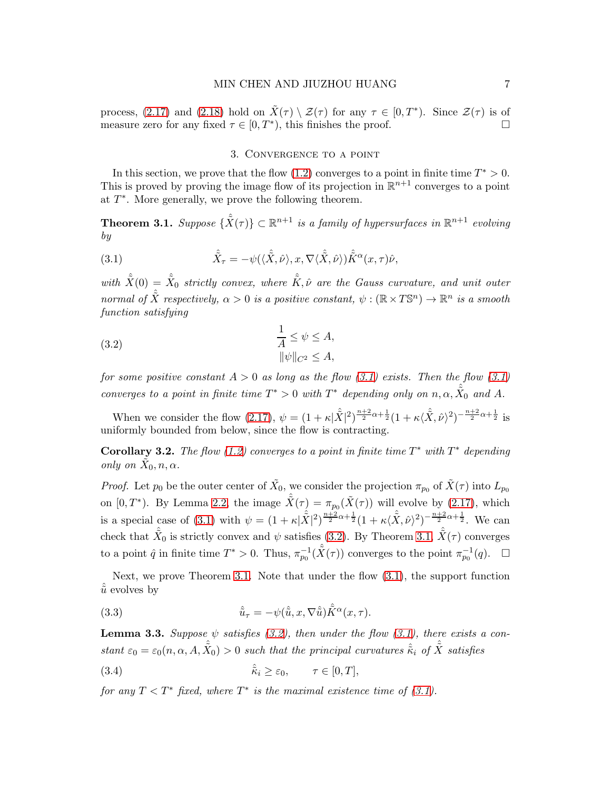process, [\(2.17\)](#page-5-1) and [\(2.18\)](#page-5-2) hold on  $\tilde{X}(\tau) \setminus \mathcal{Z}(\tau)$  for any  $\tau \in [0, T^*)$ . Since  $\mathcal{Z}(\tau)$  is of measure zero for any fixed  $\tau \in [0, T^*)$ , this finishes the proof.

## <span id="page-6-0"></span>3. Convergence to a point

In this section, we prove that the flow  $(1.2)$  converges to a point in finite time  $T^* > 0$ . This is proved by proving the image flow of its projection in  $\mathbb{R}^{n+1}$  converges to a point at  $T^*$ . More generally, we prove the following theorem.

<span id="page-6-3"></span>**Theorem 3.1.** Suppose  $\{\hat{X}(\tau)\}\subset\mathbb{R}^{n+1}$  is a family of hypersurfaces in  $\mathbb{R}^{n+1}$  evolving by

(3.1) 
$$
\hat{\tilde{X}}_{\tau} = -\psi(\langle \hat{\tilde{X}}, \hat{\nu} \rangle, x, \nabla \langle \hat{\tilde{X}}, \hat{\nu} \rangle) \hat{\tilde{K}}^{\alpha}(x, \tau) \hat{\nu},
$$

with  $\hat{\tilde{X}}(0) = \hat{\tilde{X}}_0$  strictly convex, where  $\hat{\tilde{K}}, \hat{\nu}$  are the Gauss curvature, and unit outer normal of  $\hat{X}$  respectively,  $\alpha > 0$  is a positive constant,  $\psi : (\mathbb{R} \times T \mathbb{S}^n) \to \mathbb{R}^n$  is a smooth function satisfying

<span id="page-6-2"></span>(3.2) 
$$
\frac{1}{A} \leq \psi \leq A,
$$

$$
\|\psi\|_{C^2} \leq A,
$$

for some positive constant  $A > 0$  as long as the flow [\(3.1\)](#page-6-0) exists. Then the flow (3.1) converges to a point in finite time  $T^* > 0$  with  $T^*$  depending only on  $n, \alpha, \hat{X}_0$  and A.

When we consider the flow [\(2.17\)](#page-5-1),  $\psi = (1 + \kappa |\mathring{\tilde{X}}|^2)^{\frac{n+2}{2}\alpha + \frac{1}{2}} (1 + \kappa \langle \mathring{\tilde{X}}, \mathring{\nu} \rangle^2)^{-\frac{n+2}{2}\alpha + \frac{1}{2}}$  is uniformly bounded from below, since the flow is contracting.

<span id="page-6-5"></span>Corollary 3.2. The flow [\(1.2\)](#page-1-0) converges to a point in finite time  $T^*$  with  $T^*$  depending only on  $\tilde{X}_0, n, \alpha$ .

*Proof.* Let  $p_0$  be the outer center of  $\tilde{X}_0$ , we consider the projection  $\pi_{p_0}$  of  $\tilde{X}(\tau)$  into  $L_{p_0}$ on  $[0, T^*)$ . By Lemma [2.2,](#page-5-3) the image  $\hat{\tilde{X}}(\tau) = \pi_{p_0}(\tilde{X}(\tau))$  will evolve by [\(2.17\)](#page-5-1), which is a special case of [\(3.1\)](#page-6-0) with  $\psi = (1 + \kappa |\hat{X}|^2)^{\frac{n+2}{2}\alpha + \frac{1}{2}} (1 + \kappa \langle \hat{X}, \hat{\nu} \rangle^2)^{-\frac{n+2}{2}\alpha + \frac{1}{2}}$ . We can check that  $\hat{\tilde{X}}_0$  is strictly convex and  $\psi$  satisfies [\(3.2\)](#page-6-2). By Theorem [3.1,](#page-6-3)  $\hat{\tilde{X}}(\tau)$  converges to a point  $\hat{q}$  in finite time  $T^* > 0$ . Thus,  $\pi_{p_0}^{-1}(\hat{X}(\tau))$  converges to the point  $\pi_{p_0}^{-1}(q)$ .  $\Box$ 

Next, we prove Theorem [3.1.](#page-6-3) Note that under the flow [\(3.1\)](#page-6-0), the support function  $\tilde{u}$  evolves by

<span id="page-6-4"></span>(3.3) 
$$
\hat{\tilde{u}}_{\tau} = -\psi(\hat{\tilde{u}}, x, \nabla \hat{\tilde{u}})\hat{K}^{\alpha}(x, \tau).
$$

<span id="page-6-1"></span>**Lemma 3.3.** Suppose  $\psi$  satisfies [\(3.2\)](#page-6-2), then under the flow [\(3.1\)](#page-6-0), there exists a constant  $\varepsilon_0 = \varepsilon_0(n, \alpha, A, \hat{\tilde{X}}_0) > 0$  such that the principal curvatures  $\hat{\tilde{\kappa}}_i$  of  $\hat{\tilde{X}}$  satisfies

(3.4) 
$$
\hat{\tilde{\kappa}}_i \geq \varepsilon_0, \qquad \tau \in [0, T],
$$

for any  $T < T^*$  fixed, where  $T^*$  is the maximal existence time of [\(3.1\)](#page-6-0).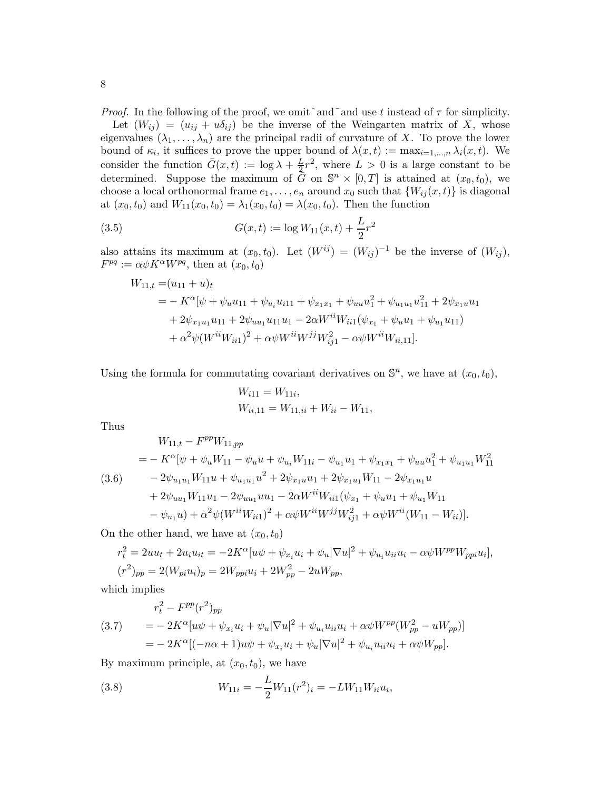*Proof.* In the following of the proof, we omit  $\hat{a}$  and use t instead of  $\tau$  for simplicity. Let  $(W_{ij}) = (u_{ij} + u\delta_{ij})$  be the inverse of the Weingarten matrix of X, whose eigenvalues  $(\lambda_1, \ldots, \lambda_n)$  are the principal radii of curvature of X. To prove the lower bound of  $\kappa_i$ , it suffices to prove the upper bound of  $\lambda(x,t) := \max_{i=1,\dots,n} \lambda_i(x,t)$ . We consider the function  $\bar{G}(x,t) := \log \lambda + \frac{L}{2}r^2$ , where  $L > 0$  is a large constant to be determined. Suppose the maximum of  $\bar{G}$  on  $\mathbb{S}^n \times [0,T]$  is attained at  $(x_0, t_0)$ , we choose a local orthonormal frame  $e_1, \ldots, e_n$  around  $x_0$  such that  $\{W_{ij}(x, t)\}\$ is diagonal at  $(x_0, t_0)$  and  $W_{11}(x_0, t_0) = \lambda_1(x_0, t_0) = \lambda(x_0, t_0)$ . Then the function

(3.5) 
$$
G(x,t) := \log W_{11}(x,t) + \frac{L}{2}r^2
$$

also attains its maximum at  $(x_0, t_0)$ . Let  $(W^{ij}) = (W_{ij})^{-1}$  be the inverse of  $(W_{ij})$ ,  $F^{pq} := \alpha \psi K^{\alpha} W^{pq}$ , then at  $(x_0, t_0)$ 

$$
W_{11,t} = (u_{11} + u)_t
$$
  
=  $- K^{\alpha} [\psi + \psi_u u_{11} + \psi_{u_i} u_{i11} + \psi_{x_1 x_1} + \psi_{uu} u_1^2 + \psi_{u_1 u_1} u_{11}^2 + 2 \psi_{x_1 u} u_1$   
+  $2 \psi_{x_1 u_1} u_{11} + 2 \psi_{uu_1} u_{11} u_1 - 2 \alpha W^{ii} W_{ii1} (\psi_{x_1} + \psi_u u_1 + \psi_{u_1} u_{11})$   
+  $\alpha^2 \psi (W^{ii} W_{ii1})^2 + \alpha \psi W^{ii} W^{jj} W_{ij1}^2 - \alpha \psi W^{ii} W_{ii,11}].$ 

Using the formula for commutating covariant derivatives on  $\mathbb{S}^n$ , we have at  $(x_0, t_0)$ ,

$$
W_{i11} = W_{11i},
$$
  
\n
$$
W_{ii,11} = W_{11,ii} + W_{ii} - W_{11},
$$

Thus

<span id="page-7-1"></span>
$$
W_{11,t} - F^{pp} W_{11,pp}
$$
  
=  $- K^{\alpha} [\psi + \psi_u W_{11} - \psi_u u + \psi_{u_i} W_{11i} - \psi_{u_1} u_1 + \psi_{x_1x_1} + \psi_{uu} u_1^2 + \psi_{u_1u_1} W_{11}^2$   
(3.6)  $- 2\psi_{u_1u_1} W_{11} u + \psi_{u_1u_1} u^2 + 2\psi_{x_1u} u_1 + 2\psi_{x_1u_1} W_{11} - 2\psi_{x_1u_1} u$   
 $+ 2\psi_{uu_1} W_{11} u_1 - 2\psi_{uu_1} u u_1 - 2\alpha W^{ii} W_{ii1} (\psi_{x_1} + \psi_u u_1 + \psi_{u_1} W_{11} - \psi_{u_1} u) + \alpha^2 \psi (W^{ii} W_{ii1})^2 + \alpha \psi W^{ii} W^{jj} W_{ij1}^2 + \alpha \psi W^{ii} (W_{11} - W_{ii})].$ 

On the other hand, we have at  $(x_0, t_0)$ 

$$
r_t^2 = 2uu_t + 2u_iu_{it} = -2K^{\alpha}[u\psi + \psi_{x_i}u_i + \psi_u|\nabla u|^2 + \psi_{u_i}u_{ii}u_i - \alpha\psi W^{pp}W_{ppi}u_i],
$$
  
\n
$$
(r^2)_{pp} = 2(W_{pi}u_i)_p = 2W_{ppi}u_i + 2W_{pp}^2 - 2uW_{pp},
$$

which implies

(3.7) 
$$
r_t^2 - F^{pp}(r^2)_{pp}
$$
  
=  $- 2K^{\alpha} [u\psi + \psi_{x_i} u_i + \psi_u |\nabla u|^2 + \psi_{u_i} u_{ii} u_i + \alpha \psi W^{pp} (W_{pp}^2 - uW_{pp})]$   
=  $- 2K^{\alpha} [(-n\alpha + 1)u\psi + \psi_{x_i} u_i + \psi_u |\nabla u|^2 + \psi_{u_i} u_{ii} u_i + \alpha \psi W_{pp}].$ 

By maximum principle, at  $(x_0, t_0)$ , we have

<span id="page-7-0"></span>(3.8) 
$$
W_{11i} = -\frac{L}{2}W_{11}(r^2)_i = -L W_{11} W_{ii} u_i,
$$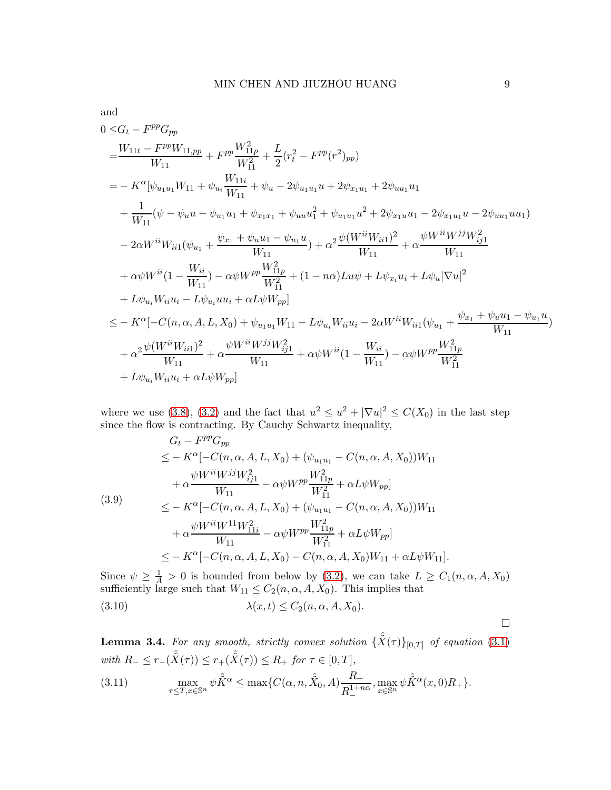and  
\n
$$
0 \leq G_t - F^{pp}G_{pp}
$$
\n
$$
= \frac{W_{11t} - F^{pp}W_{11,pp}}{W_{11}} + F^{pp}\frac{W_{11p}^2}{W_{11}^2} + \frac{L}{2}(r_t^2 - F^{pp}(r^2)_{pp})
$$
\n
$$
= -K^{\alpha}[\psi_{u_1u_1}W_{11} + \psi_{u_i}\frac{W_{11i}}{W_{11}} + \psi_u - 2\psi_{u_1u_1}u + 2\psi_{x_1u_1} + 2\psi_{uu_1}u_1
$$
\n
$$
+ \frac{1}{W_{11}}(\psi - \psi_u u - \psi_{u_1}u_1 + \psi_{x_1x_1} + \psi_{uu}u_1^2 + \psi_{u_1u_1}u^2 + 2\psi_{x_1u}u_1 - 2\psi_{x_1u_1}u - 2\psi_{uu_1}uu_1)
$$
\n
$$
- 2\alpha W^{ii}W_{ii1}(\psi_{u_1} + \frac{\psi_{x_1} + \psi_u u_1 - \psi_{u_1}u}{W_{11}}) + \alpha^2 \frac{\psi(W^{ii}W_{ii1})^2}{W_{11}} + \alpha \frac{\psi W^{ii}W^{jj}W_{ij}^2}{W_{11}}
$$
\n
$$
+ \alpha\psi W^{ii}(1 - \frac{W_{ii}}{W_{11}}) - \alpha\psi W^{pp}\frac{W_{11p}^2}{W_{11}^2} + (1 - n\alpha)Lu\psi + L\psi_{x_i}u_i + L\psi_u|\nabla u|^2
$$
\n
$$
+ L\psi_{u_i}W_{ii}u_i - L\psi_{u_i}u_{ii} + \alpha L\psi W_{pp}]
$$
\n
$$
\leq - K^{\alpha}[-C(n, \alpha, A, L, X_0) + \psi_{u_1u_1}W_{11} - L\psi_{u_i}W_{ii}u_i - 2\alpha W^{ii}W_{ii1}(\psi_{u_1} + \frac{\psi_{x_1} + \psi_u u_1 - \psi_{u_1}u}{W_{11}}) + \alpha^2 \frac{\psi(W^{ii}W_{ii1})^2}{W_{11}} + \alpha\psi W^{ii}W_{pp}]
$$

where we use [\(3.8\)](#page-7-0), [\(3.2\)](#page-6-2) and the fact that  $u^2 \le u^2 + |\nabla u|^2 \le C(X_0)$  in the last step since the flow is contracting. By Cauchy Schwartz inequality,

$$
G_{t} - F^{pp}G_{pp}
$$
  
\n
$$
\leq -K^{\alpha}[-C(n, \alpha, A, L, X_{0}) + (\psi_{u_{1}u_{1}} - C(n, \alpha, A, X_{0}))W_{11}
$$
  
\n
$$
+ \alpha \frac{\psi W^{ii} W^{jj} W^{2}_{ij1}}{W_{11}} - \alpha \psi W^{pp} \frac{W^{2}_{11p}}{W_{11}^{2}} + \alpha L \psi W_{pp}]
$$
  
\n(3.9)  
\n
$$
\leq -K^{\alpha}[-C(n, \alpha, A, L, X_{0}) + (\psi_{u_{1}u_{1}} - C(n, \alpha, A, X_{0}))W_{11}
$$
  
\n
$$
+ \alpha \frac{\psi W^{ii} W^{11} W^{2}_{11i}}{W_{11}} - \alpha \psi W^{pp} \frac{W^{2}_{11p}}{W_{11}^{2}} + \alpha L \psi W_{pp}]
$$
  
\n
$$
\leq -K^{\alpha}[-C(n, \alpha, A, L, X_{0}) - C(n, \alpha, A, X_{0})W_{11} + \alpha L \psi W_{11}].
$$

Since  $\psi \geq \frac{1}{A} > 0$  is bounded from below by [\(3.2\)](#page-6-2), we can take  $L \geq C_1(n, \alpha, A, X_0)$ sufficiently large such that  $W_{11} \leq C_2(n, \alpha, A, X_0)$ . This implies that (3.10)  $\lambda(x, t) \le C_2(n, \alpha, A, X_0).$ 

<span id="page-8-0"></span>**Lemma 3.4.** For any smooth, strictly convex solution  $\{\hat{X}(\tau)\}_{[0,T]}$  of equation (3.[1\)](#page-6-0) *with*  $R_$  ≤  $r_-(\hat{X}(\tau))$  ≤  $r_+(\hat{X}(\tau))$  ≤  $R_+$  *for*  $\tau \in [0, T]$ , (3.11)  $\max_{\tau \leq T, x \in \mathbb{S}^n} \psi \hat{K}^{\alpha} \leq \max \{ C(\alpha, n, \hat{X}_0, A) \frac{R_+}{R^{1+r}} \}$  $R_{-}^{1+n\alpha}$  $,\max_{x\in\mathbb{S}^n}\psi\hat{\tilde{K}}^\alpha(x,0)R_+\}.$ 

 $\Box$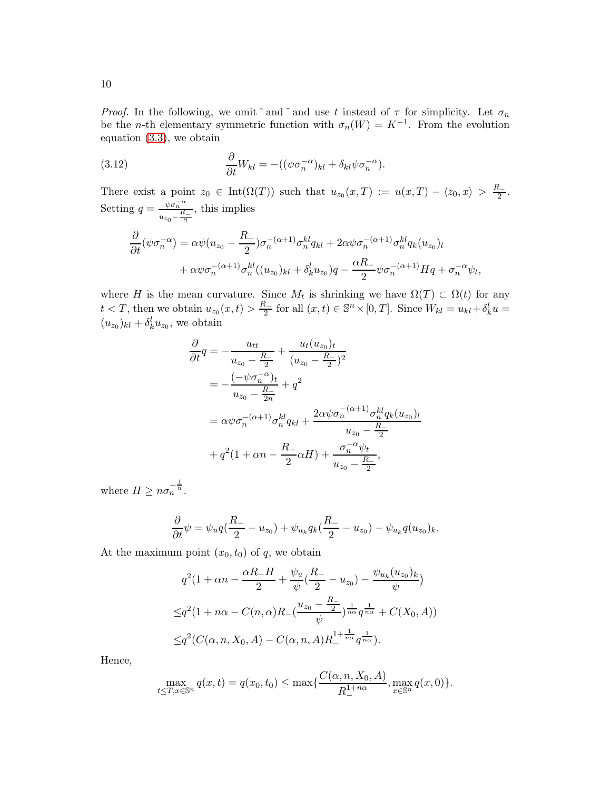*Proof.* In the following, we omit  $\hat{a}$  and  $\hat{a}$  and use t instead of  $\tau$  for simplicity. Let  $\sigma_n$ be the *n*-th elementary symmetric function with  $\sigma_n(W) = K^{-1}$ . From the evolution equation [\(3.3\)](#page-6-4), we obtain

(3.12) 
$$
\frac{\partial}{\partial t}W_{kl} = -((\psi \sigma_n^{-\alpha})_{kl} + \delta_{kl}\psi \sigma_n^{-\alpha}).
$$

There exist a point  $z_0 \in \text{Int}(\Omega(T))$  such that  $u_{z_0}(x,T) := u(x,T) - \langle z_0, x \rangle > \frac{R_-}{2}$  $rac{1}{2}$ . Setting  $q = \frac{\psi \sigma_n^{-\alpha}}{R}$  $u_{z_0} - \frac{R_{-}}{2}$ , this implies

$$
\frac{\partial}{\partial t}(\psi \sigma_n^{-\alpha}) = \alpha \psi(u_{z_0} - \frac{R_-}{2}) \sigma_n^{-(\alpha+1)} \sigma_n^{kl} q_{kl} + 2\alpha \psi \sigma_n^{-(\alpha+1)} \sigma_n^{kl} q_k(u_{z_0})_l \n+ \alpha \psi \sigma_n^{-(\alpha+1)} \sigma_n^{kl} ((u_{z_0})_{kl} + \delta_k^l u_{z_0}) q - \frac{\alpha R_-}{2} \psi \sigma_n^{-(\alpha+1)} H q + \sigma_n^{-\alpha} \psi_t,
$$

where H is the mean curvature. Since  $M_t$  is shrinking we have  $\Omega(T) \subset \Omega(t)$  for any  $t < T$ , then we obtain  $u_{z_0}(x, t) > \frac{R_-}{2}$  $\frac{k}{2}$  for all  $(x, t) \in \mathbb{S}^n \times [0, T]$ . Since  $W_{kl} = u_{kl} + \delta^l_k u =$  $(u_{z_0})_{kl} + \delta_k^l u_{z_0}$ , we obtain

$$
\frac{\partial}{\partial t}q = -\frac{u_{tt}}{u_{z_0} - \frac{R_-}{2}} + \frac{u_t(u_{z_0})_t}{(u_{z_0} - \frac{R_-}{2})^2}
$$
\n
$$
= -\frac{(-\psi \sigma_n^{-\alpha})_t}{u_{z_0} - \frac{R_-}{2n}} + q^2
$$
\n
$$
= \alpha \psi \sigma_n^{-(\alpha+1)} \sigma_n^{kl} q_{kl} + \frac{2\alpha \psi \sigma_n^{-(\alpha+1)} \sigma_n^{kl} q_k (u_{z_0})_l}{u_{z_0} - \frac{R_-}{2}}
$$
\n
$$
+ q^2 (1 + \alpha n - \frac{R_-}{2} \alpha H) + \frac{\sigma_n^{-\alpha} \psi_t}{u_{z_0} - \frac{R_-}{2}},
$$

where  $H \geq n \sigma_n^{-\frac{1}{n}}$ .

$$
\frac{\partial}{\partial t}\psi = \psi_u q(\frac{R_-}{2} - u_{z_0}) + \psi_{u_k} q_k(\frac{R_-}{2} - u_{z_0}) - \psi_{u_k} q(u_{z_0})_k.
$$

At the maximum point  $(x_0, t_0)$  of q, we obtain

$$
q^{2}(1 + \alpha n - \frac{\alpha R_{-}H}{2} + \frac{\psi_{u}}{\psi}(\frac{R_{-}}{2} - u_{z_{0}}) - \frac{\psi_{u_{k}}(u_{z_{0}})_{k}}{\psi})
$$
  

$$
\leq q^{2}(1 + n\alpha - C(n, \alpha)R_{-}(\frac{u_{z_{0}} - \frac{R_{-}}{2}}{\psi})_{n\alpha}^{\frac{1}{n\alpha}} q^{\frac{1}{n\alpha}} + C(X_{0}, A))
$$
  

$$
\leq q^{2}(C(\alpha, n, X_{0}, A) - C(\alpha, n, A)R_{-}^{1 + \frac{1}{n\alpha}} q^{\frac{1}{n\alpha}}).
$$

Hence,

$$
\max_{t \leq T, x \in \mathbb{S}^n} q(x, t) = q(x_0, t_0) \leq \max\{\frac{C(\alpha, n, X_0, A)}{R^{1+n\alpha}}, \max_{x \in \mathbb{S}^n} q(x, 0)\}.
$$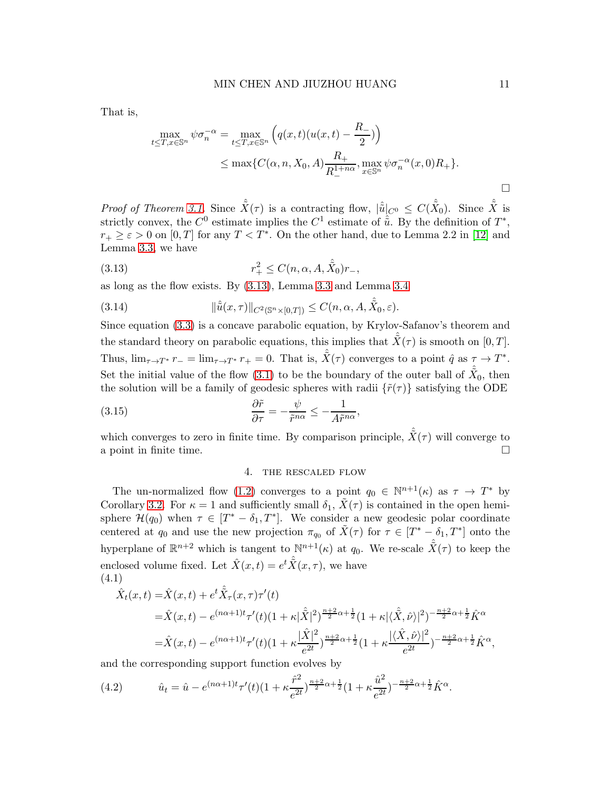That is,

$$
\max_{t \leq T, x \in \mathbb{S}^n} \psi \sigma_n^{-\alpha} = \max_{t \leq T, x \in \mathbb{S}^n} \left( q(x, t) (u(x, t) - \frac{R_-}{2}) \right)
$$
\n
$$
\leq \max \{ C(\alpha, n, X_0, A) \frac{R_+}{R_-^{1 + n\alpha}}, \max_{x \in \mathbb{S}^n} \psi \sigma_n^{-\alpha}(x, 0) R_+ \}.
$$

Proof of Theorem [3.1.](#page-6-3) Since  $\hat{X}(\tau)$  is a contracting flow,  $|\hat{u}|_{C^0} \leq C(\hat{X}_0)$ . Since  $\hat{X}$  is strictly convex, the  $C^0$  estimate implies the  $C^1$  estimate of  $\hat{u}$ . By the definition of  $T^*$ ,  $r_+ \geq \varepsilon > 0$  on  $[0, T]$  for any  $T < T^*$ . On the other hand, due to Lemma 2.2 in [\[12\]](#page-22-11) and Lemma [3.3,](#page-6-1) we have

<span id="page-10-0"></span>(3.13) 
$$
r_{+}^{2} \leq C(n, \alpha, A, \hat{X}_{0})r_{-},
$$

as long as the flow exists. By [\(3.13\)](#page-10-0), Lemma [3.3](#page-6-1) and Lemma [3.4](#page-8-0)

(3.14) 
$$
\|\hat{\tilde{u}}(x,\tau)\|_{C^2(\mathbb{S}^n\times[0,T])}\leq C(n,\alpha,A,\hat{\tilde{X}}_0,\varepsilon).
$$

Since equation [\(3.3\)](#page-6-4) is a concave parabolic equation, by Krylov-Safanov's theorem and the standard theory on parabolic equations, this implies that  $\hat{X}(\tau)$  is smooth on [0, T]. Thus,  $\lim_{\tau \to T^*} r_- = \lim_{\tau \to T^*} r_+ = 0$ . That is,  $\hat{X}(\tau)$  converges to a point  $\hat{q}$  as  $\tau \to T^*$ . Set the initial value of the flow [\(3.1\)](#page-6-0) to be the boundary of the outer ball of  $\hat{\tilde{X}}_0$ , then the solution will be a family of geodesic spheres with radii  $\{\tilde{r}(\tau)\}\$  satisfying the ODE

(3.15) 
$$
\frac{\partial \tilde{r}}{\partial \tau} = -\frac{\psi}{\tilde{r}^{n\alpha}} \le -\frac{1}{A\tilde{r}^{n\alpha}},
$$

which converges to zero in finite time. By comparison principle,  $\hat{X}(\tau)$  will converge to a point in finite time.

## 4. the rescaled flow

The un-normalized flow [\(1.2\)](#page-1-0) converges to a point  $q_0 \in \mathbb{N}^{n+1}(\kappa)$  as  $\tau \to T^*$  by Corollary [3.2.](#page-6-5) For  $\kappa = 1$  and sufficiently small  $\delta_1$ ,  $\tilde{X}(\tau)$  is contained in the open hemisphere  $\mathcal{H}(q_0)$  when  $\tau \in [T^* - \delta_1, T^*]$ . We consider a new geodesic polar coordinate centered at  $q_0$  and use the new projection  $\pi_{q_0}$  of  $\tilde{X}(\tau)$  for  $\tau \in [T^* - \delta_1, T^*]$  onto the hyperplane of  $\mathbb{R}^{n+2}$  which is tangent to  $\mathbb{N}^{n+1}(\kappa)$  at  $q_0$ . We re-scale  $\hat{X}(\tau)$  to keep the enclosed volume fixed. Let  $\hat{X}(x,t) = e^{t} \hat{\tilde{X}}(x,\tau)$ , we have (4.1)

$$
\hat{X}_t(x,t) = \hat{X}(x,t) + e^{t\hat{X}_\tau(x,\tau)\tau'(t)} \n= \hat{X}(x,t) - e^{(n\alpha+1)t}\tau'(t)(1+\kappa|\hat{X}|^2)^{\frac{n+2}{2}\alpha+\frac{1}{2}}(1+\kappa|\langle \hat{X}, \hat{\nu} \rangle|^2)^{-\frac{n+2}{2}\alpha+\frac{1}{2}}\hat{K}^\alpha \n= \hat{X}(x,t) - e^{(n\alpha+1)t}\tau'(t)(1+\kappa\frac{|\hat{X}|^2}{e^{2t}})^{\frac{n+2}{2}\alpha+\frac{1}{2}}(1+\kappa\frac{|\langle \hat{X}, \hat{\nu} \rangle|^2}{e^{2t}})^{-\frac{n+2}{2}\alpha+\frac{1}{2}}\hat{K}^\alpha,
$$

and the corresponding support function evolves by

(4.2) 
$$
\hat{u}_t = \hat{u} - e^{(n\alpha+1)t} \tau'(t) \left(1 + \kappa \frac{\hat{r}^2}{e^{2t}}\right)^{\frac{n+2}{2}\alpha + \frac{1}{2}} \left(1 + \kappa \frac{\hat{u}^2}{e^{2t}}\right)^{-\frac{n+2}{2}\alpha + \frac{1}{2}} \hat{K}^{\alpha}.
$$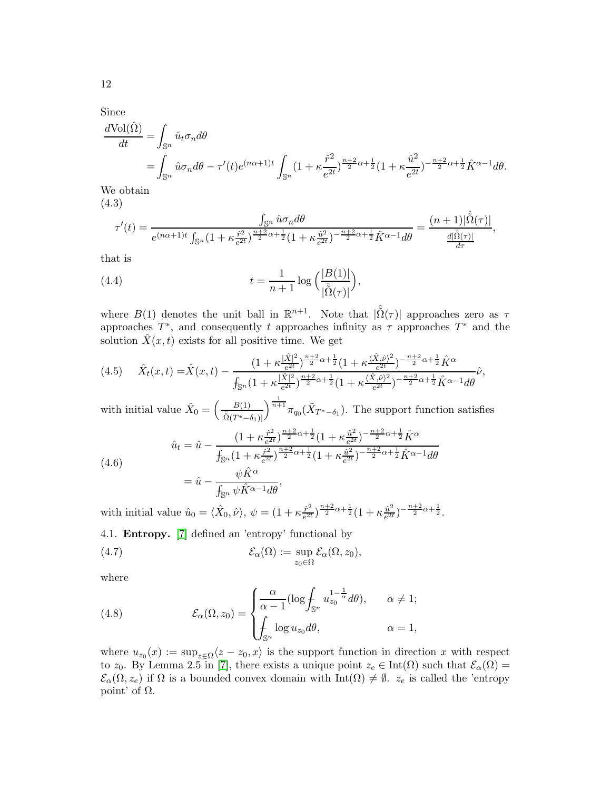Since

$$
\frac{d\text{Vol}(\hat{\Omega})}{dt} = \int_{\mathbb{S}^n} \hat{u}_t \sigma_n d\theta
$$
  
= 
$$
\int_{\mathbb{S}^n} \hat{u} \sigma_n d\theta - \tau'(t) e^{(n\alpha + 1)t} \int_{\mathbb{S}^n} (1 + \kappa \frac{\hat{r}^2}{e^{2t}})^{\frac{n+2}{2}\alpha + \frac{1}{2}} (1 + \kappa \frac{\hat{u}^2}{e^{2t}})^{-\frac{n+2}{2}\alpha + \frac{1}{2}} \hat{K}^{\alpha - 1} d\theta.
$$
  
We obtain

We obtain

(4.3)

$$
\tau'(t) = \frac{\int_{\mathbb{S}^n} \hat{u}\sigma_n d\theta}{e^{(n\alpha+1)t} \int_{\mathbb{S}^n} \left(1 + \kappa \frac{\hat{r}^2}{e^{2t}}\right)^{\frac{n+2}{2}\alpha + \frac{1}{2}} \left(1 + \kappa \frac{\hat{u}^2}{e^{2t}}\right)^{-\frac{n+2}{2}\alpha + \frac{1}{2}} \hat{K}^{\alpha-1} d\theta} = \frac{(n+1)|\hat{\tilde{\Omega}}(\tau)|}{\frac{d|\hat{\tilde{\Omega}}(\tau)|}{d\tau}},
$$

that is

<span id="page-11-1"></span>(4.4) 
$$
t = \frac{1}{n+1} \log \left( \frac{|B(1)|}{|\hat{\Omega}(\tau)|} \right),
$$

where  $B(1)$  denotes the unit ball in  $\mathbb{R}^{n+1}$ . Note that  $|\hat{\tilde{\Omega}}(\tau)|$  approaches zero as  $\tau$ approaches  $T^*$ , and consequently t approaches infinity as  $\tau$  approaches  $T^*$  and the solution  $\ddot{X}(x,t)$  exists for all positive time. We get

<span id="page-11-2"></span>
$$
(4.5) \quad \hat{X}_t(x,t) = \hat{X}(x,t) - \frac{\left(1 + \kappa \frac{|\hat{X}|^2}{e^{2t}}\right)^{\frac{n+2}{2}\alpha + \frac{1}{2}} \left(1 + \kappa \frac{\langle \hat{X}, \hat{\nu} \rangle^2}{e^{2t}}\right)^{-\frac{n+2}{2}\alpha + \frac{1}{2}} \hat{K}^{\alpha}}{\int_{\mathbb{S}^n} \left(1 + \kappa \frac{|\hat{X}|^2}{e^{2t}}\right)^{\frac{n+2}{2}\alpha + \frac{1}{2}} \left(1 + \kappa \frac{\langle \hat{X}, \hat{\nu} \rangle^2}{e^{2t}}\right)^{-\frac{n+2}{2}\alpha + \frac{1}{2}} \hat{K}^{\alpha - 1} d\theta} \hat{\nu},
$$

with initial value  $\hat{X}_0 = \left(\frac{B(1)}{\hat{B}(T)^2}\right)$  $|\hat{\tilde{\Omega}}(T^*-\delta_1)|$  $\int_0^{\frac{1}{n+1}} \pi_{q_0}(\tilde{X}_{T^*-\delta_1})$ . The support function satisfies

<span id="page-11-0"></span>(4.6)  

$$
\hat{u}_t = \hat{u} - \frac{\left(1 + \kappa \frac{\hat{r}^2}{e^{2t}}\right)^{\frac{n+2}{2}\alpha + \frac{1}{2}}(1 + \kappa \frac{\hat{u}^2}{e^{2t}})^{-\frac{n+2}{2}\alpha + \frac{1}{2}}\hat{K}^{\alpha}}{f_{\mathbb{S}^n}(1 + \kappa \frac{\hat{r}^2}{e^{2t}})^{\frac{n+2}{2}\alpha + \frac{1}{2}}(1 + \kappa \frac{\hat{u}^2}{e^{2t}})^{-\frac{n+2}{2}\alpha + \frac{1}{2}}\hat{K}^{\alpha - 1}d\theta}
$$

$$
= \hat{u} - \frac{\psi \hat{K}^{\alpha}}{f_{\mathbb{S}^n} \psi \hat{K}^{\alpha - 1}d\theta},
$$

with initial value  $\hat{u}_0 = \langle \hat{X}_0, \hat{\nu} \rangle$ ,  $\psi = (1 + \kappa \frac{\hat{r}^2}{e^{2t}})$  $\frac{\hat{r}^2}{e^{2t}}\big)^{\frac{n+2}{2}\alpha+\frac{1}{2}}(1+\kappa\frac{\hat{u}^2}{e^{2t}})$  $\frac{\hat{u}^2}{e^{2t}}$  $-\frac{n+2}{2}\alpha + \frac{1}{2}$ .

4.1. Entropy. [\[7\]](#page-22-6) defined an 'entropy' functional by

(4.7) 
$$
\mathcal{E}_{\alpha}(\Omega) := \sup_{z_0 \in \Omega} \mathcal{E}_{\alpha}(\Omega, z_0),
$$

where

(4.8) 
$$
\mathcal{E}_{\alpha}(\Omega, z_0) = \begin{cases} \frac{\alpha}{\alpha - 1} (\log \int_{\mathbb{S}^n} u_{z_0}^{1 - \frac{1}{\alpha}} d\theta), & \alpha \neq 1; \\ \int_{\mathbb{S}^n} \log u_{z_0} d\theta, & \alpha = 1, \end{cases}
$$

where  $u_{z_0}(x) := \sup_{z \in \Omega} \langle z - z_0, x \rangle$  is the support function in direction x with respect to  $z_0$ . By Lemma 2.5 in [\[7\]](#page-22-6), there exists a unique point  $z_e \in \text{Int}(\Omega)$  such that  $\mathcal{E}_{\alpha}(\Omega)$  =  $\mathcal{E}_{\alpha}(\Omega, z_e)$  if  $\Omega$  is a bounded convex domain with  $\text{Int}(\Omega) \neq \emptyset$ .  $z_e$  is called the 'entropy point' of  $Ω$ .

12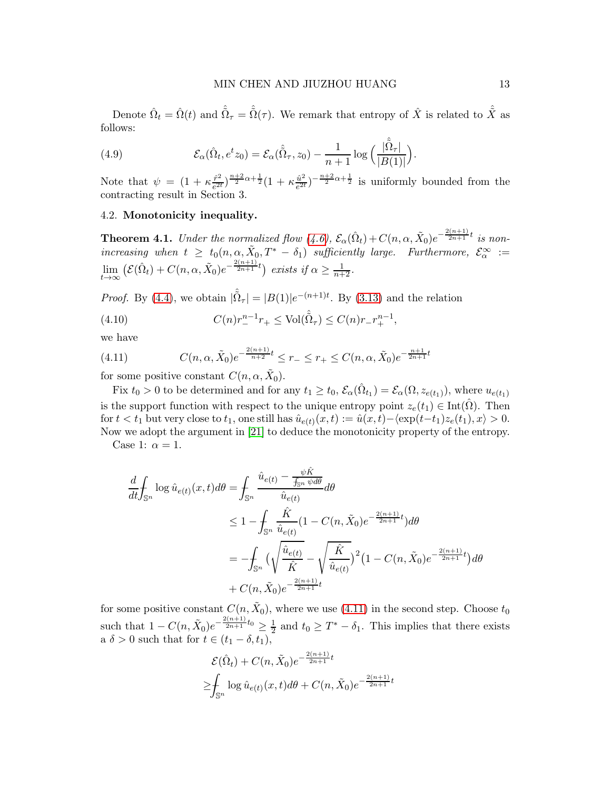Denote  $\hat{\Omega}_t = \hat{\Omega}(t)$  and  $\hat{\tilde{\Omega}}_{\tau} = \hat{\tilde{\Omega}}(\tau)$ . We remark that entropy of  $\hat{X}$  is related to  $\hat{\tilde{X}}$  as follows:

(4.9) 
$$
\mathcal{E}_{\alpha}(\hat{\Omega}_t, e^t z_0) = \mathcal{E}_{\alpha}(\hat{\Omega}_\tau, z_0) - \frac{1}{n+1} \log \left( \frac{|\hat{\tilde{\Omega}}_\tau|}{|B(1)|} \right).
$$

Note that  $\psi = (1 + \kappa \frac{\hat{r}^2}{e^{2i}})$  $\frac{\hat{r}^2}{e^{2t}}$  $\frac{n+2}{2}\alpha + \frac{1}{2}(1 + \kappa \frac{\hat{u}^2}{e^{2t}})$  $\frac{\hat{u}^2}{e^{2t}}$ )<sup>- $\frac{n+2}{2}\alpha+\frac{1}{2}$ </sup> is uniformly bounded from the contracting result in Section 3.

## 4.2. Monotonicity inequality.

<span id="page-12-1"></span>**Theorem 4.1.** Under the normalized flow  $(4.6)$ ,  $\mathcal{E}_{\alpha}(\hat{\Omega}_t) + C(n, \alpha, \tilde{X}_0)e^{-\frac{2(n+1)}{2n+1}t}$  is nonincreasing when  $t \geq t_0(n, \alpha, \tilde{X}_0, T^* - \delta_1)$  sufficiently large. Furthermore,  $\mathcal{E}_{\alpha}^{\infty} :=$  $\lim_{t\to\infty} \left( \mathcal{E}(\hat{\Omega}_t) + C(n, \alpha, \tilde{X}_0) e^{-\frac{2(n+1)}{2n+1}t} \right)$  exists if  $\alpha \ge \frac{1}{n+2}$ .

*Proof.* By [\(4.4\)](#page-11-1), we obtain  $|\hat{\tilde{\Omega}}_{\tau}| = |B(1)|e^{-(n+1)t}$ . By [\(3.13\)](#page-10-0) and the relation

<span id="page-12-2"></span>(4.10) 
$$
C(n)r_{-}^{n-1}r_{+} \le \text{Vol}(\hat{\tilde{\Omega}}_{\tau}) \le C(n)r_{-}r_{+}^{n-1},
$$

we have

<span id="page-12-0"></span>(4.11) 
$$
C(n, \alpha, \tilde{X}_0)e^{-\frac{2(n+1)}{n+2}t} \le r_- \le r_+ \le C(n, \alpha, \tilde{X}_0)e^{-\frac{n+1}{2n+1}t}
$$

for some positive constant  $C(n, \alpha, \tilde{X}_0)$ .

Fix  $t_0 > 0$  to be determined and for any  $t_1 \ge t_0$ ,  $\mathcal{E}_{\alpha}(\hat{\Omega}_{t_1}) = \mathcal{E}_{\alpha}(\Omega, z_{e(t_1)})$ , where  $u_{e(t_1)}$ is the support function with respect to the unique entropy point  $z_e(t_1) \in \text{Int}(\hat{\Omega})$ . Then for  $t < t_1$  but very close to  $t_1$ , one still has  $\hat{u}_{e(t)}(x,t) := \hat{u}(x,t) - \langle \exp(t-t_1)z_e(t_1), x \rangle > 0$ . Now we adopt the argument in [\[21\]](#page-23-4) to deduce the monotonicity property of the entropy.

Case 1:  $\alpha = 1$ .

$$
\frac{d}{dt} \int_{\mathbb{S}^n} \log \hat{u}_{e(t)}(x, t) d\theta = \int_{\mathbb{S}^n} \frac{\hat{u}_{e(t)} - \frac{\psi \hat{K}}{\hat{j}_{\mathbb{S}^n} \psi d\theta}}{\hat{u}_{e(t)}} d\theta \n\leq 1 - \int_{\mathbb{S}^n} \frac{\hat{K}}{\hat{u}_{e(t)}} (1 - C(n, \tilde{X}_0) e^{-\frac{2(n+1)}{2n+1}t}) d\theta \n= - \int_{\mathbb{S}^n} \left( \sqrt{\frac{\hat{u}_{e(t)}}{\hat{K}}} - \sqrt{\frac{\hat{K}}{\hat{u}_{e(t)}}} \right)^2 (1 - C(n, \tilde{X}_0) e^{-\frac{2(n+1)}{2n+1}t}) d\theta \n+ C(n, \tilde{X}_0) e^{-\frac{2(n+1)}{2n+1}t}
$$

for some positive constant  $C(n, \tilde{X}_0)$ , where we use [\(4.11\)](#page-12-0) in the second step. Choose  $t_0$ such that  $1 - C(n, \tilde{X}_0)e^{-\frac{2(n+1)}{2n+1}t_0} \geq \frac{1}{2}$  $\frac{1}{2}$  and  $t_0 \geq T^* - \delta_1$ . This implies that there exists a  $\delta > 0$  such that for  $t \in (t_1 - \delta, t_1)$ ,

$$
\mathcal{E}(\hat{\Omega}_t) + C(n, \tilde{X}_0) e^{-\frac{2(n+1)}{2n+1}t}
$$
  
\n
$$
\geq \int_{\mathbb{S}^n} \log \hat{u}_{e(t)}(x, t) d\theta + C(n, \tilde{X}_0) e^{-\frac{2(n+1)}{2n+1}t}
$$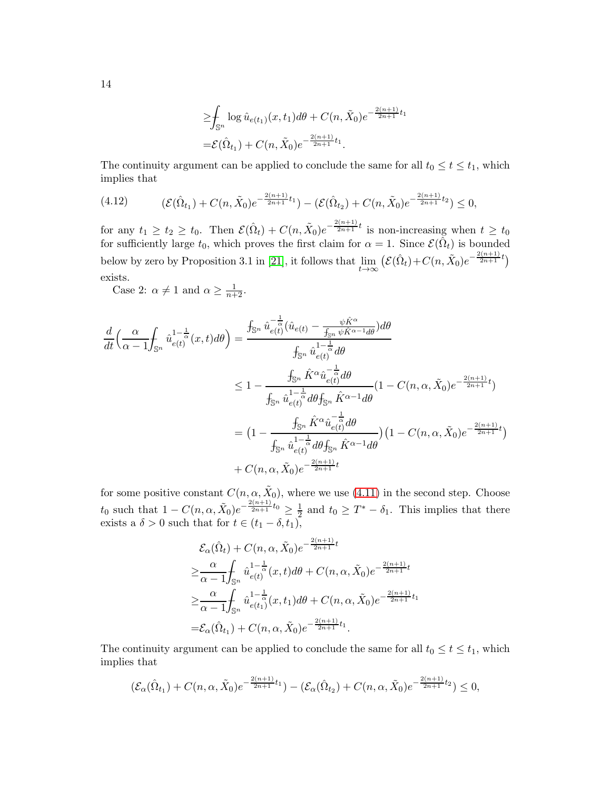$$
\leq \int_{\mathbb{S}^n} \log \hat{u}_{e(t_1)}(x, t_1) d\theta + C(n, \tilde{X}_0) e^{-\frac{2(n+1)}{2n+1}t_1}
$$
  
=  $\mathcal{E}(\hat{\Omega}_{t_1}) + C(n, \tilde{X}_0) e^{-\frac{2(n+1)}{2n+1}t_1}.$ 

The continuity argument can be applied to conclude the same for all  $t_0 \le t \le t_1$ , which implies that

$$
(4.12) \qquad (\mathcal{E}(\hat{\Omega}_{t_1}) + C(n,\tilde{X}_0)e^{-\frac{2(n+1)}{2n+1}t_1}) - (\mathcal{E}(\hat{\Omega}_{t_2}) + C(n,\tilde{X}_0)e^{-\frac{2(n+1)}{2n+1}t_2}) \le 0,
$$

for any  $t_1 \geq t_2 \geq t_0$ . Then  $\mathcal{E}(\hat{\Omega}_t) + C(n, \tilde{X}_0)e^{-\frac{2(n+1)}{2n+1}t}$  is non-increasing when  $t \geq t_0$ for sufficiently large  $t_0$ , which proves the first claim for  $\alpha = 1$ . Since  $\mathcal{E}(\hat{\Omega}_t)$  is bounded below by zero by Proposition 3.1 in [\[21\]](#page-23-4), it follows that  $\lim_{t\to\infty} (\mathcal{E}(\hat{\Omega}_t)+C(n,\tilde{X}_0)e^{-\frac{2(n+1)}{2n+1}t})$ exists.

Case 2:  $\alpha \neq 1$  and  $\alpha \geq \frac{1}{n+2}$ .

$$
\frac{d}{dt} \left( \frac{\alpha}{\alpha - 1} \int_{\mathbb{S}^n} \hat{u}_{e(t)}^{1 - \frac{1}{\alpha}}(x, t) d\theta \right) = \frac{\int_{\mathbb{S}^n} \hat{u}_{e(t)}^{-\frac{1}{\alpha}}(\hat{u}_{e(t)} - \frac{\psi \hat{K}^{\alpha}}{f_{\mathbb{S}^n} \psi \hat{K}^{\alpha - 1} d\theta}) d\theta}{\int_{\mathbb{S}^n} \hat{u}_{e(t)}^{1 - \frac{1}{\alpha}} d\theta}
$$
\n
$$
\leq 1 - \frac{\int_{\mathbb{S}^n} \hat{K}^{\alpha} \hat{u}_{e(t)}^{-\frac{1}{\alpha}} d\theta}{\int_{\mathbb{S}^n} \hat{u}_{e(t)}^{1 - \frac{1}{\alpha}} d\theta f_{\mathbb{S}^n} \hat{K}^{\alpha - 1} d\theta} (1 - C(n, \alpha, \tilde{X}_0) e^{-\frac{2(n+1)}{2n+1}t})
$$
\n
$$
= \left( 1 - \frac{\int_{\mathbb{S}^n} \hat{K}^{\alpha} \hat{u}_{e(t)}^{-\frac{1}{\alpha}} d\theta}{\int_{\mathbb{S}^n} \hat{u}_{e(t)}^{1 - \frac{1}{\alpha}} d\theta f_{\mathbb{S}^n} \hat{K}^{\alpha - 1} d\theta} \right) \left( 1 - C(n, \alpha, \tilde{X}_0) e^{-\frac{2(n+1)}{2n+1}t} \right)
$$
\n
$$
+ C(n, \alpha, \tilde{X}_0) e^{-\frac{2(n+1)}{2n+1}t}
$$

for some positive constant  $C(n, \alpha, \tilde{X}_0)$ , where we use [\(4.11\)](#page-12-0) in the second step. Choose  $t_0$  such that  $1 - C(n, \alpha, \tilde{X}_0)e^{-\frac{2(n+1)}{2n+1}t_0} \geq \frac{1}{2}$  and  $t_0 \geq T^* - \delta_1$ . This implies that there exists a  $\delta > 0$  such that for  $t \in (t_1 - \delta, t_1)$ ,

$$
\mathcal{E}_{\alpha}(\hat{\Omega}_{t}) + C(n, \alpha, \tilde{X}_{0})e^{-\frac{2(n+1)}{2n+1}t}
$$
\n
$$
\geq \frac{\alpha}{\alpha - 1} \int_{\mathbb{S}^{n}} \hat{u}_{e(t)}^{1-\frac{1}{\alpha}}(x, t) d\theta + C(n, \alpha, \tilde{X}_{0})e^{-\frac{2(n+1)}{2n+1}t}
$$
\n
$$
\geq \frac{\alpha}{\alpha - 1} \int_{\mathbb{S}^{n}} \hat{u}_{e(t_{1})}^{1-\frac{1}{\alpha}}(x, t_{1}) d\theta + C(n, \alpha, \tilde{X}_{0})e^{-\frac{2(n+1)}{2n+1}t_{1}}
$$
\n
$$
= \mathcal{E}_{\alpha}(\hat{\Omega}_{t_{1}}) + C(n, \alpha, \tilde{X}_{0})e^{-\frac{2(n+1)}{2n+1}t_{1}}.
$$

The continuity argument can be applied to conclude the same for all  $t_0 \le t \le t_1$ , which implies that

$$
(\mathcal{E}_{\alpha}(\hat{\Omega}_{t_1}) + C(n, \alpha, \tilde{X}_0)e^{-\frac{2(n+1)}{2n+1}t_1}) - (\mathcal{E}_{\alpha}(\hat{\Omega}_{t_2}) + C(n, \alpha, \tilde{X}_0)e^{-\frac{2(n+1)}{2n+1}t_2}) \leq 0,
$$

14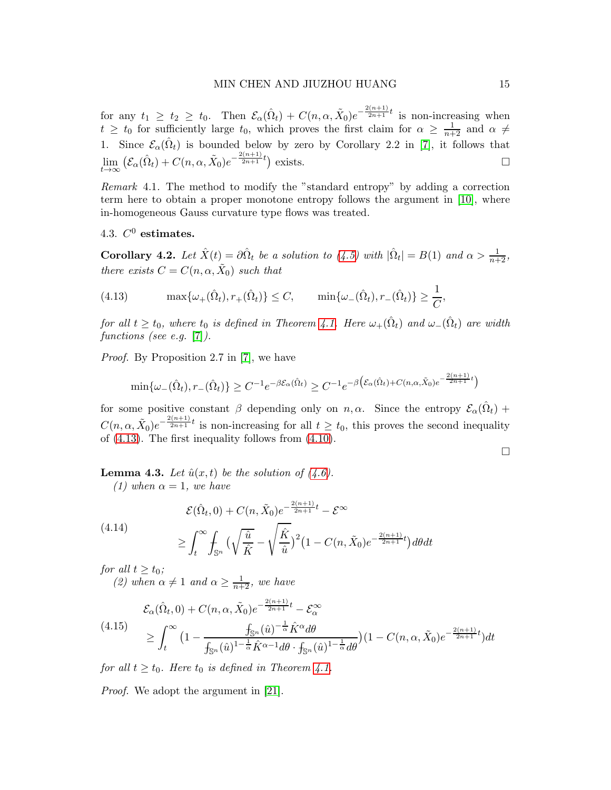for any  $t_1 \geq t_2 \geq t_0$ . Then  $\mathcal{E}_{\alpha}(\hat{\Omega}_t) + C(n, \alpha, \tilde{X}_0)e^{-\frac{2(n+1)}{2n+1}t}$  is non-increasing when  $t \geq t_0$  for sufficiently large  $t_0$ , which proves the first claim for  $\alpha \geq \frac{1}{n+2}$  and  $\alpha \neq$ 1. Since  $\mathcal{E}_{\alpha}(\hat{\Omega}_t)$  is bounded below by zero by Corollary 2.2 in [\[7\]](#page-22-6), it follows that  $\lim_{t\to\infty} \left( \mathcal{E}_{\alpha}(\hat{\Omega}_t) + C(n,\alpha,\tilde{X}_0)e^{-\frac{2(n+1)}{2n+1}t} \right)$  exists.

Remark 4.1. The method to modify the "standard entropy" by adding a correction term here to obtain a proper monotone entropy follows the argument in [\[10\]](#page-22-12), where in-homogeneous Gauss curvature type flows was treated.

4.3.  $C^0$  estimates.

<span id="page-14-3"></span>**Corollary 4.2.** Let  $\hat{X}(t) = \partial \hat{\Omega}_t$  be a solution to [\(4.5\)](#page-11-2) with  $|\hat{\Omega}_t| = B(1)$  and  $\alpha > \frac{1}{n+2}$ , there exists  $C = C(n, \alpha, \tilde{X}_0)$  such that

<span id="page-14-0"></span>(4.13) 
$$
\max\{\omega_+(\hat{\Omega}_t), r_+(\hat{\Omega}_t)\}\leq C, \qquad \min\{\omega_-(\hat{\Omega}_t), r_-(\hat{\Omega}_t)\}\geq \frac{1}{C},
$$

for all  $t \geq t_0$ , where  $t_0$  is defined in Theorem [4.1.](#page-12-1) Here  $\omega_+(\hat{\Omega}_t)$  and  $\omega_-(\hat{\Omega}_t)$  are width functions (see e.g. [\[7\]](#page-22-6)).

Proof. By Proposition 2.7 in [\[7\]](#page-22-6), we have

$$
\min\{\omega_-(\hat{\Omega}_t), r_-(\hat{\Omega}_t)\} \ge C^{-1} e^{-\beta \mathcal{E}_{\alpha}(\hat{\Omega}_t)} \ge C^{-1} e^{-\beta \left(\mathcal{E}_{\alpha}(\hat{\Omega}_t) + C(n,\alpha,\tilde{X}_0)e^{-\frac{2(n+1)}{2n+1}t}\right)}
$$

for some positive constant  $\beta$  depending only on  $n, \alpha$ . Since the entropy  $\mathcal{E}_{\alpha}(\hat{\Omega}_t)$  +  $C(n, \alpha, \tilde{X}_0)e^{-\frac{2(n+1)}{2n+1}t}$  is non-increasing for all  $t \geq t_0$ , this proves the second inequality of [\(4.13\)](#page-14-0). The first inequality follows from [\(4.10\)](#page-12-2).

 $\Box$ 

<span id="page-14-4"></span>**Lemma 4.3.** Let  $\hat{u}(x, t)$  be the solution of  $(4.6)$ . (1) when  $\alpha = 1$ , we have

<span id="page-14-1"></span>(4.14) 
$$
\mathcal{E}(\hat{\Omega}_t, 0) + C(n, \tilde{X}_0) e^{-\frac{2(n+1)}{2n+1}t} - \mathcal{E}^{\infty}
$$

$$
\geq \int_t^{\infty} \int_{\mathbb{S}^n} \left( \sqrt{\frac{\hat{u}}{\hat{K}}} - \sqrt{\frac{\hat{K}}{\hat{u}}} \right)^2 (1 - C(n, \tilde{X}_0) e^{-\frac{2(n+1)}{2n+1}t}) d\theta dt
$$

for all  $t \geq t_0$ ;

(2) when  $\alpha \neq 1$  and  $\alpha \geq \frac{1}{n+2}$ , we have

<span id="page-14-2"></span>
$$
\mathcal{E}_{\alpha}(\hat{\Omega}_t, 0) + C(n, \alpha, \tilde{X}_0) e^{-\frac{2(n+1)}{2n+1}t} - \mathcal{E}_{\alpha}^{\infty}
$$
\n
$$
\geq \int_t^{\infty} \left(1 - \frac{\int_{\mathbb{S}^n} (\hat{u})^{-\frac{1}{\alpha}} \hat{K}^{\alpha} d\theta}{\int_{\mathbb{S}^n} (\hat{u})^{1-\frac{1}{\alpha}} \hat{K}^{\alpha-1} d\theta \cdot \int_{\mathbb{S}^n} (\hat{u})^{1-\frac{1}{\alpha}} d\theta}\right) (1 - C(n, \alpha, \tilde{X}_0) e^{-\frac{2(n+1)}{2n+1}t}) dt
$$

for all  $t \geq t_0$ . Here  $t_0$  is defined in Theorem [4.1.](#page-12-1)

Proof. We adopt the argument in [\[21\]](#page-23-4).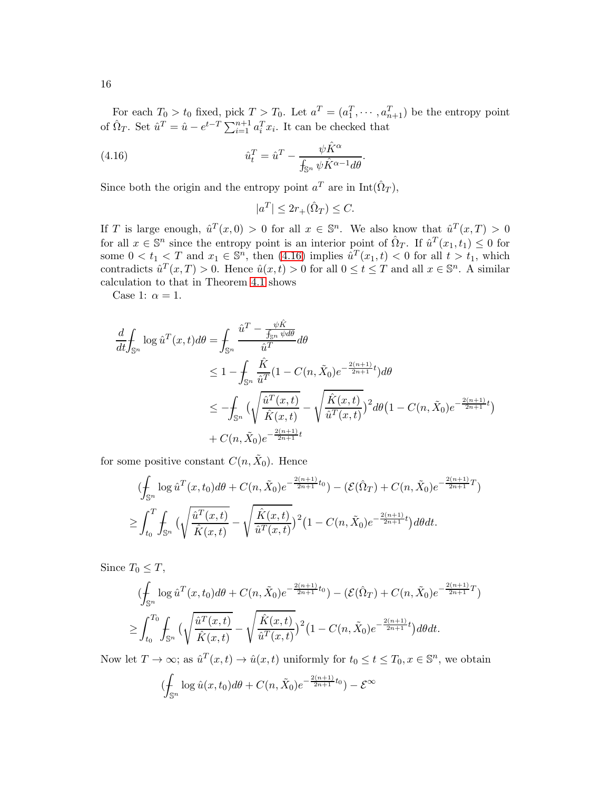For each  $T_0 > t_0$  fixed, pick  $T > T_0$ . Let  $a^T = (a_1^T, \dots, a_{n+1}^T)$  be the entropy point of  $\hat{\Omega}_T$ . Set  $\hat{u}^T = \hat{u} - e^{t-T} \sum_{i=1}^{n+1} a_i^T x_i$ . It can be checked that

(4.16) 
$$
\hat{u}_t^T = \hat{u}^T - \frac{\psi \hat{K}^{\alpha}}{\int_{\mathbb{S}^n} \psi \hat{K}^{\alpha-1} d\theta}.
$$

Since both the origin and the entropy point  $a^T$  are in  $\text{Int}(\hat{\Omega}_T)$ ,

<span id="page-15-0"></span> $|a^T| \leq 2r_+(\hat{\Omega}_T) \leq C.$ 

If T is large enough,  $\hat{u}^T(x,0) > 0$  for all  $x \in \mathbb{S}^n$ . We also know that  $\hat{u}^T(x,T) > 0$ for all  $x \in \mathbb{S}^n$  since the entropy point is an interior point of  $\hat{\Omega}_T$ . If  $\hat{u}^T(x_1, t_1) \leq 0$  for some  $0 < t_1 < T$  and  $x_1 \in \mathbb{S}^n$ , then [\(4.16\)](#page-15-0) implies  $\hat{u}^T(x_1, t) < 0$  for all  $t > t_1$ , which contradicts  $\hat{u}^T(x,T) > 0$ . Hence  $\hat{u}(x,t) > 0$  for all  $0 \le t \le T$  and all  $x \in \mathbb{S}^n$ . A similar calculation to that in Theorem [4.1](#page-12-1) shows

Case 1:  $\alpha = 1$ .

$$
\frac{d}{dt} \int_{\mathbb{S}^n} \log \hat{u}^T(x,t) d\theta = \int_{\mathbb{S}^n} \frac{\hat{u}^T - \frac{\psi \hat{K}}{\hat{u}^T}}{\hat{u}^T} d\theta
$$
\n
$$
\leq 1 - \int_{\mathbb{S}^n} \frac{\hat{K}}{\hat{u}^T} (1 - C(n, \tilde{X}_0) e^{-\frac{2(n+1)}{2n+1}t}) d\theta
$$
\n
$$
\leq - \int_{\mathbb{S}^n} \left( \sqrt{\frac{\hat{u}^T(x,t)}{\hat{K}(x,t)}} - \sqrt{\frac{\hat{K}(x,t)}{\hat{u}^T(x,t)}} \right)^2 d\theta \left( 1 - C(n, \tilde{X}_0) e^{-\frac{2(n+1)}{2n+1}t} \right)
$$
\n
$$
+ C(n, \tilde{X}_0) e^{-\frac{2(n+1)}{2n+1}t}
$$

for some positive constant  $C(n, \tilde{X}_0)$ . Hence

$$
\begin{split} & (\oint_{\mathbb{S}^n} \log \hat{u}^T(x, t_0) d\theta + C(n, \tilde{X}_0) e^{-\frac{2(n+1)}{2n+1}t_0}) - (\mathcal{E}(\hat{\Omega}_T) + C(n, \tilde{X}_0) e^{-\frac{2(n+1)}{2n+1}T}) \\ &\geq \int_{t_0}^T \int_{\mathbb{S}^n} \big( \sqrt{\frac{\hat{u}^T(x, t)}{\hat{K}(x, t)}} - \sqrt{\frac{\hat{K}(x, t)}{\hat{u}^T(x, t)}} \big)^2 \big( 1 - C(n, \tilde{X}_0) e^{-\frac{2(n+1)}{2n+1}t} \big) d\theta dt. \end{split}
$$

Since  $T_0 \leq T$ ,

$$
\begin{split} & (\oint_{\mathbb{S}^n} \log \hat{u}^T(x, t_0) d\theta + C(n, \tilde{X}_0) e^{-\frac{2(n+1)}{2n+1}t_0}) - (\mathcal{E}(\hat{\Omega}_T) + C(n, \tilde{X}_0) e^{-\frac{2(n+1)}{2n+1}T}) \\ &\geq \int_{t_0}^{T_0} \int_{\mathbb{S}^n} \Big( \sqrt{\frac{\hat{u}^T(x, t)}{\hat{K}(x, t)}} - \sqrt{\frac{\hat{K}(x, t)}{\hat{u}^T(x, t)}} \Big)^2 \big( 1 - C(n, \tilde{X}_0) e^{-\frac{2(n+1)}{2n+1}t} \big) d\theta dt. \end{split}
$$

Now let  $T \to \infty$ ; as  $\hat{u}^T(x,t) \to \hat{u}(x,t)$  uniformly for  $t_0 \le t \le T_0, x \in \mathbb{S}^n$ , we obtain

$$
(\oint_{\mathbb{S}^n} \log \hat{u}(x,t_0) d\theta + C(n,\tilde{X}_0) e^{-\frac{2(n+1)}{2n+1}t_0}) - \mathcal{E}^{\infty}
$$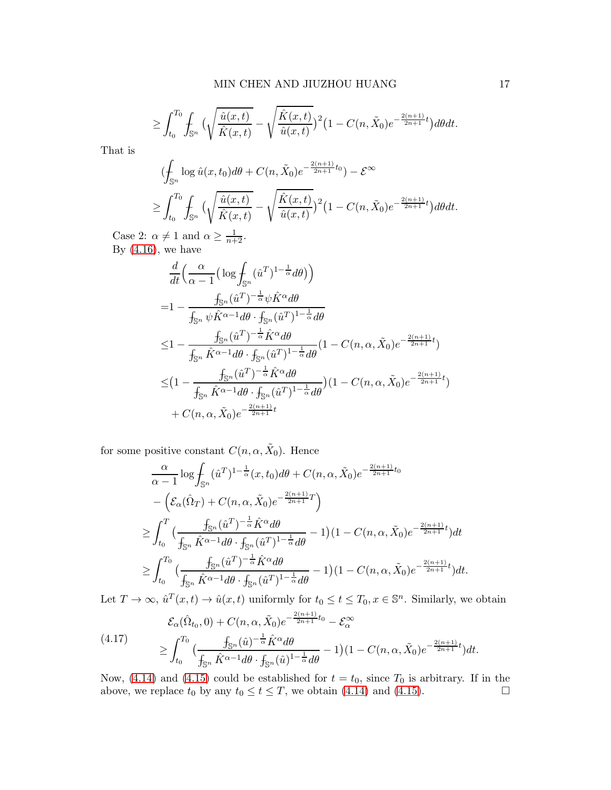$$
\geq \int_{t_0}^{T_0} \int_{\mathbb{S}^n} \big( \sqrt{\frac{\hat{u}(x,t)}{\hat{K}(x,t)}} - \sqrt{\frac{\hat{K}(x,t)}{\hat{u}(x,t)}} \big)^2 \big( 1 - C(n,\tilde{X}_0) e^{-\frac{2(n+1)}{2n+1}t} \big) d\theta dt.
$$

That is

$$
\begin{split} & (\oint_{\mathbb{S}^n} \log \hat{u}(x, t_0) d\theta + C(n, \tilde{X}_0) e^{-\frac{2(n+1)}{2n+1}t_0}) - \mathcal{E}^\infty \\ &\geq \int_{t_0}^{T_0} \int_{\mathbb{S}^n} \big( \sqrt{\frac{\hat{u}(x, t)}{\hat{K}(x, t)}} - \sqrt{\frac{\hat{K}(x, t)}{\hat{u}(x, t)}} \big)^2 \big( 1 - C(n, \tilde{X}_0) e^{-\frac{2(n+1)}{2n+1}t} \big) d\theta dt. \end{split}
$$

Case 2:  $\alpha \neq 1$  and  $\alpha \geq \frac{1}{n+2}$ . By  $(4.16)$ , we have

$$
\frac{d}{dt} \left( \frac{\alpha}{\alpha - 1} \left( \log \frac{f}{\delta s} (\hat{u}^T)^{1 - \frac{1}{\alpha}} d\theta \right) \right)
$$
\n
$$
= 1 - \frac{f_{\mathbb{S}^n} (\hat{u}^T)^{-\frac{1}{\alpha}} \psi \hat{K}^{\alpha} d\theta}{f_{\mathbb{S}^n} \psi \hat{K}^{\alpha - 1} d\theta \cdot f_{\mathbb{S}^n} (\hat{u}^T)^{1 - \frac{1}{\alpha}} d\theta}
$$
\n
$$
\leq 1 - \frac{f_{\mathbb{S}^n} (\hat{u}^T)^{-\frac{1}{\alpha}} \hat{K}^{\alpha} d\theta}{f_{\mathbb{S}^n} \hat{K}^{\alpha - 1} d\theta \cdot f_{\mathbb{S}^n} (\hat{u}^T)^{1 - \frac{1}{\alpha}} d\theta} (1 - C(n, \alpha, \tilde{X}_0) e^{-\frac{2(n+1)}{2n+1}t})
$$
\n
$$
\leq \left( 1 - \frac{f_{\mathbb{S}^n} (\hat{u}^T)^{-\frac{1}{\alpha}} \hat{K}^{\alpha} d\theta}{f_{\mathbb{S}^n} \hat{K}^{\alpha - 1} d\theta \cdot f_{\mathbb{S}^n} (\hat{u}^T)^{1 - \frac{1}{\alpha}} d\theta} \right) (1 - C(n, \alpha, \tilde{X}_0) e^{-\frac{2(n+1)}{2n+1}t})
$$
\n
$$
+ C(n, \alpha, \tilde{X}_0) e^{-\frac{2(n+1)}{2n+1}t}
$$

for some positive constant  $C(n, \alpha, \tilde{X}_0)$ . Hence

$$
\frac{\alpha}{\alpha - 1} \log \int_{\mathbb{S}^n} (\hat{u}^T)^{1 - \frac{1}{\alpha}} (x, t_0) d\theta + C(n, \alpha, \tilde{X}_0) e^{-\frac{2(n+1)}{2n+1} t_0}
$$
\n
$$
- \left( \mathcal{E}_{\alpha} (\hat{\Omega}_T) + C(n, \alpha, \tilde{X}_0) e^{-\frac{2(n+1)}{2n+1} T} \right)
$$
\n
$$
\geq \int_{t_0}^T \left( \frac{f_{\mathbb{S}^n} (\hat{u}^T)^{-\frac{1}{\alpha}} \hat{K}^{\alpha} d\theta}{f_{\mathbb{S}^n} \hat{K}^{\alpha - 1} d\theta \cdot f_{\mathbb{S}^n} (\hat{u}^T)^{1 - \frac{1}{\alpha}} d\theta} - 1 \right) (1 - C(n, \alpha, \tilde{X}_0) e^{-\frac{2(n+1)}{2n+1} t} ) dt
$$
\n
$$
\geq \int_{t_0}^{T_0} \left( \frac{f_{\mathbb{S}^n} (\hat{u}^T)^{-\frac{1}{\alpha}} \hat{K}^{\alpha} d\theta}{f_{\mathbb{S}^n} \hat{K}^{\alpha - 1} d\theta \cdot f_{\mathbb{S}^n} (\hat{u}^T)^{1 - \frac{1}{\alpha}} d\theta} - 1 \right) (1 - C(n, \alpha, \tilde{X}_0) e^{-\frac{2(n+1)}{2n+1} t} ) dt.
$$

Let  $T \to \infty$ ,  $\hat{u}^T(x,t) \to \hat{u}(x,t)$  uniformly for  $t_0 \le t \le T_0, x \in \mathbb{S}^n$ . Similarly, we obtain

$$
\mathcal{E}_{\alpha}(\hat{\Omega}_{t_0}, 0) + C(n, \alpha, \tilde{X}_0) e^{-\frac{2(n+1)}{2n+1}t_0} - \mathcal{E}_{\alpha}^{\infty}
$$
\n
$$
\geq \int_{t_0}^{T_0} \left( \frac{f_{\mathbb{S}^n}(\hat{u})^{-\frac{1}{\alpha}} \hat{K}^{\alpha} d\theta}{f_{\mathbb{S}^n} \hat{K}^{\alpha-1} d\theta \cdot f_{\mathbb{S}^n}(\hat{u})^{1-\frac{1}{\alpha}} d\theta} - 1 \right) (1 - C(n, \alpha, \tilde{X}_0) e^{-\frac{2(n+1)}{2n+1}t} ) dt.
$$

Now, [\(4.14\)](#page-14-1) and [\(4.15\)](#page-14-2) could be established for  $t = t_0$ , since  $T_0$  is arbitrary. If in the above, we replace  $t_0$  by any  $t_0 \le t \le T$ , we obtain [\(4.14\)](#page-14-1) and [\(4.15\)](#page-14-2).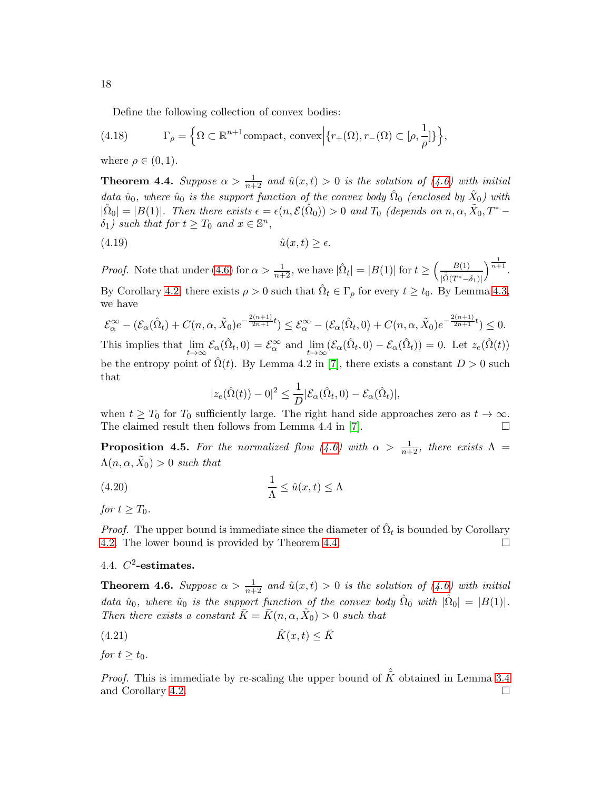Define the following collection of convex bodies:

(4.18) 
$$
\Gamma_{\rho} = \left\{ \Omega \subset \mathbb{R}^{n+1} \text{compact}, \text{ convex} \middle| \{ r_{+}(\Omega), r_{-}(\Omega) \subset [\rho, \frac{1}{\rho}] \} \right\},
$$

where  $\rho \in (0,1)$ .

<span id="page-17-0"></span>**Theorem 4.4.** Suppose  $\alpha > \frac{1}{n+2}$  and  $\hat{u}(x,t) > 0$  is the solution of [\(4.6\)](#page-11-0) with initial data  $\hat{u}_0$ , where  $\hat{u}_0$  is the support function of the convex body  $\hat{\Omega}_0$  (enclosed by  $\hat{X}_0$ ) with  $|\hat{\Omega}_0| = |B(1)|$ . Then there exists  $\epsilon = \epsilon(n, \mathcal{E}(\hat{\Omega}_0)) > 0$  and  $T_0$  (depends on  $n, \alpha, \tilde{X}_0, T^*$  –  $\delta_1$ ) such that for  $t \geq T_0$  and  $x \in \mathbb{S}^n$ ,

$$
(4.19) \t\t\t\t \hat{u}(x,t) \ge \epsilon.
$$

*Proof.* Note that under [\(4.6\)](#page-11-0) for  $\alpha > \frac{1}{n+2}$ , we have  $|\hat{\Omega}_t| = |B(1)|$  for  $t \ge \left(\frac{B(1)}{10(T^*)-1}\right)$  $|\hat{\tilde{\Omega}}(T^*-\delta_1)|$  $\Big)^{\frac{1}{n+1}}$ .

By Corollary [4.2,](#page-14-3) there exists  $\rho > 0$  such that  $\hat{\Omega}_t \in \Gamma_\rho$  for every  $t \ge t_0$ . By Lemma [4.3,](#page-14-4) we have

$$
\mathcal{E}_{\alpha}^{\infty} - (\mathcal{E}_{\alpha}(\hat{\Omega}_{t}) + C(n, \alpha, \tilde{X}_{0})e^{-\frac{2(n+1)}{2n+1}t}) \leq \mathcal{E}_{\alpha}^{\infty} - (\mathcal{E}_{\alpha}(\hat{\Omega}_{t}, 0) + C(n, \alpha, \tilde{X}_{0})e^{-\frac{2(n+1)}{2n+1}t}) \leq 0.
$$
  
This implies that  $\lim_{t \to \infty} \mathcal{E}_{\alpha}(\hat{\Omega}_{t}, 0) = \mathcal{E}_{\alpha}^{\infty}$  and  $\lim_{t \to \infty} (\mathcal{E}_{\alpha}(\hat{\Omega}_{t}, 0) - \mathcal{E}_{\alpha}(\hat{\Omega}_{t})) = 0$ . Let  $z_{e}(\hat{\Omega}(t))$  be the entropy point of  $\hat{\Omega}(t)$ . By Lemma 4.2 in [7], there exists a constant  $D > 0$  such that

$$
|z_e(\hat{\Omega}(t)) - 0|^2 \leq \frac{1}{D} |\mathcal{E}_{\alpha}(\hat{\Omega}_t, 0) - \mathcal{E}_{\alpha}(\hat{\Omega}_t)|,
$$

when  $t \geq T_0$  for  $T_0$  sufficiently large. The right hand side approaches zero as  $t \to \infty$ .<br>The claimed result then follows from Lemma 4.4 in [7]. The claimed result then follows from Lemma 4.4 in [\[7\]](#page-22-6).

<span id="page-17-1"></span>**Proposition 4.5.** For the normalized flow [\(4.6\)](#page-11-0) with  $\alpha > \frac{1}{n+2}$ , there exists  $\Lambda$  =  $\Lambda(n, \alpha, \tilde{X}_0) > 0$  such that

(4.20) 
$$
\frac{1}{\Lambda} \leq \hat{u}(x,t) \leq \Lambda
$$

for  $t \geq T_0$ .

*Proof.* The upper bound is immediate since the diameter of  $\hat{\Omega}_t$  is bounded by Corollary [4.2.](#page-14-3) The lower bound is provided by Theorem [4.4.](#page-17-0)

# 4.4.  $C^2$ -estimates.

**Theorem 4.6.** Suppose  $\alpha > \frac{1}{n+2}$  and  $\hat{u}(x,t) > 0$  is the solution of [\(4.6\)](#page-11-0) with initial data  $\hat{u}_0$ , where  $\hat{u}_0$  is the support function of the convex body  $\hat{\Omega}_0$  with  $|\hat{\Omega}_0| = |B(1)|$ . Then there exists a constant  $\bar{K} = \bar{K} (n, \alpha, \tilde{X}_0) > 0$  such that

$$
(4.21)\quad \hat{K}(x,t) \leq \bar{K}
$$

for  $t \geq t_0$ .

*Proof.* This is immediate by re-scaling the upper bound of  $\hat{\tilde{K}}$  obtained in Lemma [3.4](#page-8-0) and Corollary [4.2.](#page-14-3)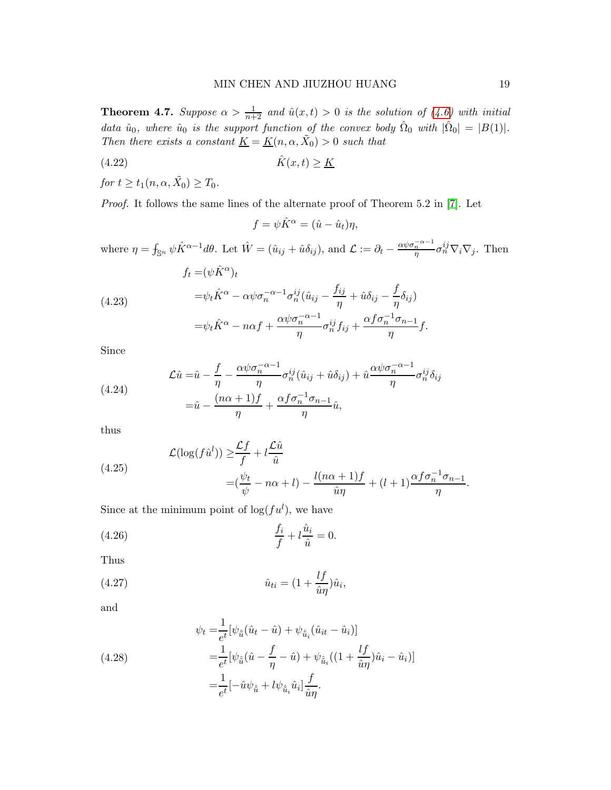**Theorem 4.7.** Suppose  $\alpha > \frac{1}{n+2}$  and  $\hat{u}(x,t) > 0$  is the solution of [\(4.6\)](#page-11-0) with initial data  $\hat{u}_0$ , where  $\hat{u}_0$  is the support function of the convex body  $\hat{\Omega}_0$  with  $|\hat{\Omega}_0| = |B(1)|$ . Then there exists a constant  $\underline{K} = \underline{K}(n, \alpha, \tilde{X}_0) > 0$  such that

$$
(4.22)\quad \hat{K}(x,t) \ge \underline{K}
$$

for  $t \ge t_1(n, \alpha, \tilde{X_0}) \ge T_0$ .

Proof. It follows the same lines of the alternate proof of Theorem 5.2 in [\[7\]](#page-22-6). Let

$$
f = \psi \hat{K}^{\alpha} = (\hat{u} - \hat{u}_t)\eta,
$$

where  $\eta = \int_{\mathbb{S}^n} \psi \hat{K}^{\alpha-1} d\theta$ . Let  $\hat{W} = (\hat{u}_{ij} + \hat{u}\delta_{ij})$ , and  $\mathcal{L} := \partial_t - \frac{\alpha \psi \sigma_n^{-\alpha-1}}{\eta} \sigma_n^{ij} \nabla_i \nabla_j$ . Then

(4.23)  
\n
$$
f_t = (\psi \hat{K}^{\alpha})_t
$$
\n
$$
= \psi_t \hat{K}^{\alpha} - \alpha \psi \sigma_n^{-\alpha - 1} \sigma_n^{ij} (\hat{u}_{ij} - \frac{f_{ij}}{\eta} + \hat{u} \delta_{ij} - \frac{f}{\eta} \delta_{ij})
$$
\n
$$
= \psi_t \hat{K}^{\alpha} - n\alpha f + \frac{\alpha \psi \sigma_n^{-\alpha - 1}}{\eta} \sigma_n^{ij} f_{ij} + \frac{\alpha f \sigma_n^{-1} \sigma_{n-1}}{\eta} f.
$$

Since

(4.24) 
$$
\mathcal{L}\hat{u} = \hat{u} - \frac{f}{\eta} - \frac{\alpha \psi \sigma_n^{-\alpha - 1}}{\eta} \sigma_n^{ij} (\hat{u}_{ij} + \hat{u}\delta_{ij}) + \hat{u} \frac{\alpha \psi \sigma_n^{-\alpha - 1}}{\eta} \sigma_n^{ij} \delta_{ij}
$$

$$
= \hat{u} - \frac{(n\alpha + 1)f}{\eta} + \frac{\alpha f \sigma_n^{-1} \sigma_{n-1}}{\eta} \hat{u},
$$

thus

(4.25)  
\n
$$
\mathcal{L}(\log(f\hat{u}^l)) \geq \frac{\mathcal{L}f}{f} + l\frac{\mathcal{L}\hat{u}}{\hat{u}} \\
= (\frac{\psi_t}{\psi} - n\alpha + l) - \frac{l(n\alpha + 1)f}{\hat{u}\eta} + (l+1)\frac{\alpha f \sigma_n^{-1} \sigma_{n-1}}{\eta}.
$$

Since at the minimum point of  $log(fu^l)$ , we have

(4.26) 
$$
\frac{f_i}{f} + l \frac{\hat{u}_i}{\hat{u}} = 0.
$$

Thus

(4.27) 
$$
\hat{u}_{ti} = (1 + \frac{l f}{\hat{u}\eta})\hat{u}_i,
$$

and

(4.28)  
\n
$$
\psi_t = \frac{1}{e^t} [\psi_{\hat{u}} (\hat{u}_t - \hat{u}) + \psi_{\hat{u}_i} (\hat{u}_{it} - \hat{u}_i)]
$$
\n
$$
= \frac{1}{e^t} [\psi_{\hat{u}} (\hat{u} - \frac{f}{\eta} - \hat{u}) + \psi_{\hat{u}_i} ((1 + \frac{lf}{\hat{u}\eta}) \hat{u}_i - \hat{u}_i)]
$$
\n
$$
= \frac{1}{e^t} [-\hat{u}\psi_{\hat{u}} + l\psi_{\hat{u}_i} \hat{u}_i] \frac{f}{\hat{u}\eta}.
$$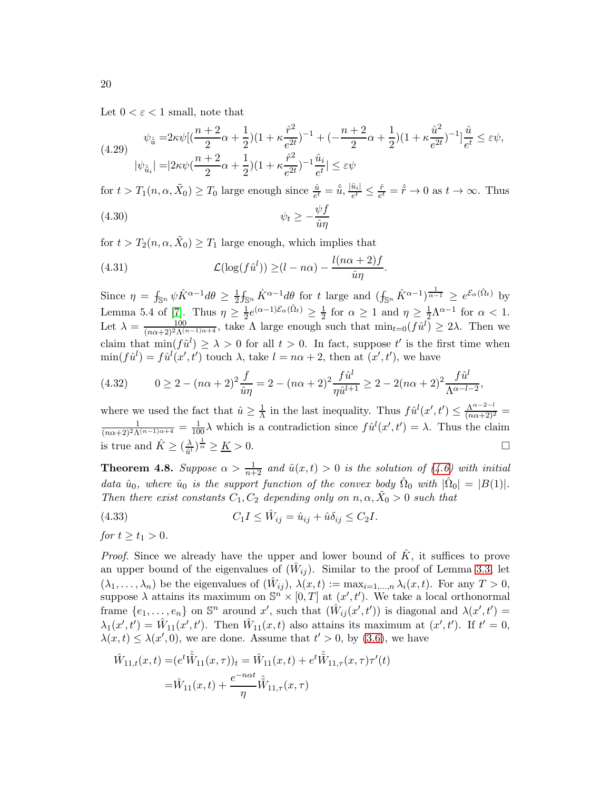Let  $0 < \varepsilon < 1$  small, note that

$$
\psi_{\hat{u}} = 2\kappa \psi \left[ \left( \frac{n+2}{2} \alpha + \frac{1}{2} \right) \left( 1 + \kappa \frac{\hat{r}^2}{e^{2t}} \right)^{-1} + \left( -\frac{n+2}{2} \alpha + \frac{1}{2} \right) \left( 1 + \kappa \frac{\hat{u}^2}{e^{2t}} \right)^{-1} \right] \frac{\hat{u}}{e^t} \le \varepsilon \psi,
$$
\n
$$
|\psi_{\hat{u}_i}| = |2\kappa \psi \left( \frac{n+2}{2} \alpha + \frac{1}{2} \right) \left( 1 + \kappa \frac{\hat{r}^2}{e^{2t}} \right)^{-1} \frac{\hat{u}_i}{e^t} | \le \varepsilon \psi
$$

for  $t > T_1(n, \alpha, \tilde{X}_0) \geq T_0$  large enough since  $\frac{\hat{u}}{e^t} = \hat{\tilde{u}}, \frac{|\hat{u}_i|}{e^t}$  $\frac{\hat{u}_i}{e^t} \leq \frac{\hat{r}}{e^t}$  $\frac{\hat{r}}{e^t} = \hat{\tilde{r}} \to 0$  as  $t \to \infty$ . Thus (4.30)  $\psi_t \geq -\frac{\psi f}{\hat{u}n}$  $\hat{u}\eta$ 

for  $t > T_2(n, \alpha, \tilde{X}_0) \ge T_1$  large enough, which implies that

(4.31) 
$$
\mathcal{L}(\log(f\hat{u}^l)) \geq (l - n\alpha) - \frac{l(n\alpha + 2)f}{\hat{u}\eta}.
$$

Since  $\eta = \int_{\mathbb{S}^n} \psi \hat{K}^{\alpha-1} d\theta \ge \frac{1}{2} \int_{\mathbb{S}^n} \hat{K}^{\alpha-1} d\theta$  for t large and  $(\int_{\mathbb{S}^n} \hat{K}^{\alpha-1})^{\frac{1}{\alpha-1}} \ge e^{\mathcal{E}_{\alpha}(\hat{\Omega}_t)}$  by 2 Lemma 5.4 of [\[7\]](#page-22-6). Thus  $\eta \geq \frac{1}{2}$  $\frac{1}{2}e^{(\alpha-1)\mathcal{E}_{\alpha}(\hat{\Omega}_t)} \geq \frac{1}{2}$  $\frac{1}{2}$  for  $\alpha \geq 1$  and  $\eta \geq \frac{1}{2}\Lambda^{\alpha-1}$  for  $\alpha < 1$ . Let  $\lambda = \frac{100}{(n\alpha+2)^2\Lambda^{(n-1)\alpha+4}}$ , take  $\Lambda$  large enough such that  $\min_{t=0}(f\hat{u}^l) \geq 2\lambda$ . Then we claim that  $\min(f\hat{u}^l) \ge \lambda > 0$  for all  $t > 0$ . In fact, suppose t' is the first time when  $\min(f\hat{u}^l) = f\hat{u}^l(x',t')$  touch  $\lambda$ , take  $l = n\alpha + 2$ , then at  $(x',t')$ , we have

(4.32) 
$$
0 \ge 2 - (n\alpha + 2)^2 \frac{f}{\hat{u}\eta} = 2 - (n\alpha + 2)^2 \frac{f\hat{u}^l}{\eta \hat{u}^{l+1}} \ge 2 - 2(n\alpha + 2)^2 \frac{f\hat{u}^l}{\Lambda^{\alpha - l - 2}},
$$

where we used the fact that  $\hat{u} \geq \frac{1}{\Lambda}$  $\frac{1}{\Lambda}$  in the last inequality. Thus  $f\hat{u}^l(x',t') \leq \frac{\Lambda^{\alpha-2-l}}{(n\alpha+2)^2}$  $\frac{1}{(n\alpha+2)^2\Lambda^{(n-1)\alpha+4}} = \frac{1}{100}\lambda$  which is a contradiction since  $f\hat{u}^l(x',t') = \lambda$ . Thus the claim is true and  $\hat{K} \geq (\frac{\lambda}{\hat{u}^l})$  $\frac{\lambda}{\hat{u}^l}$   $\frac{\lambda}{\alpha} \geq \underline{K} > 0.$ 

<span id="page-19-0"></span>**Theorem 4.8.** Suppose  $\alpha > \frac{1}{n+2}$  and  $\hat{u}(x,t) > 0$  is the solution of [\(4.6\)](#page-11-0) with initial data  $\hat{u}_0$ , where  $\hat{u}_0$  is the support function of the convex body  $\hat{\Omega}_0$  with  $|\hat{\Omega}_0| = |B(1)|$ . Then there exist constants  $C_1, C_2$  depending only on  $n, \alpha, \tilde{X}_0 > 0$  such that

<span id="page-19-1"></span>(4.33) 
$$
C_1 I \leq \hat{W}_{ij} = \hat{u}_{ij} + \hat{u}\delta_{ij} \leq C_2 I.
$$

for 
$$
t \geq t_1 > 0
$$
.

*Proof.* Since we already have the upper and lower bound of  $\hat{K}$ , it suffices to prove an upper bound of the eigenvalues of  $(\hat{W}_{ij})$ . Similar to the proof of Lemma [3.3,](#page-6-1) let  $(\lambda_1, \ldots, \lambda_n)$  be the eigenvalues of  $(\hat{W}_{ij}), \lambda(x,t) := \max_{i=1,\ldots,n} \lambda_i(x,t)$ . For any  $T > 0$ , suppose  $\lambda$  attains its maximum on  $\mathbb{S}^n \times [0,T]$  at  $(x',t')$ . We take a local orthonormal frame  $\{e_1, \ldots, e_n\}$  on  $\mathbb{S}^n$  around x', such that  $(\hat{W}_{ij}(x', t'))$  is diagonal and  $\lambda(x', t') =$  $\lambda_1(x',t') = \hat{W}_{11}(x',t')$ . Then  $\hat{W}_{11}(x,t)$  also attains its maximum at  $(x',t')$ . If  $t' = 0$ ,  $\lambda(x,t) \leq \lambda(x',0)$ , we are done. Assume that  $t' > 0$ , by [\(3.6\)](#page-7-1), we have

$$
\hat{W}_{11,t}(x,t) = (e^t \hat{\tilde{W}}_{11}(x,\tau))_t = \hat{W}_{11}(x,t) + e^t \hat{\tilde{W}}_{11,\tau}(x,\tau)\tau'(t)
$$

$$
= \hat{W}_{11}(x,t) + \frac{e^{-n\alpha t}}{\eta} \hat{\tilde{W}}_{11,\tau}(x,\tau)
$$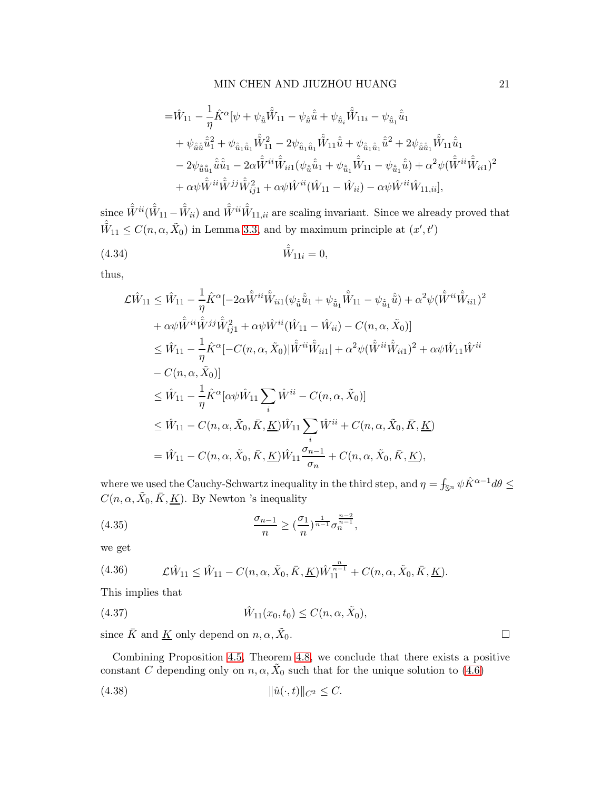## MIN CHEN AND JIUZHOU HUANG 21

$$
\begin{split} =&\hat{W}_{11}-\frac{1}{\eta}\hat{K}^{\alpha}[\psi+\psi_{\hat{\tilde{u}}}\hat{\tilde{W}}_{11}-\psi_{\hat{\tilde{u}}}\hat{\tilde{u}}+\psi_{\hat{\tilde{u}}_{i}}\hat{\tilde{W}}_{11i}-\psi_{\hat{\tilde{u}}_{1}}\hat{\tilde{u}}_{1}\\ &+\psi_{\hat{\tilde{u}}\hat{\tilde{u}}}\hat{\tilde{u}}_{1}^{2}+\psi_{\hat{\tilde{u}}_{1}\hat{\tilde{u}}_{1}}\hat{\tilde{W}}_{11}^{2}-2\psi_{\hat{\tilde{u}}_{1}\hat{\tilde{u}}_{1}}\hat{\tilde{W}}_{11}\hat{\tilde{u}}+\psi_{\hat{\tilde{u}}_{1}\hat{\tilde{u}}_{1}}\hat{\tilde{u}}^{2}+2\psi_{\hat{\tilde{u}}\hat{\tilde{u}}_{1}}\hat{\tilde{W}}_{11}\hat{\tilde{u}}_{1}\\ &-2\psi_{\hat{\tilde{u}}\hat{\tilde{u}}_{1}}\hat{\tilde{u}}\hat{\tilde{u}}_{1}-2\alpha\hat{\tilde{W}}^{ii}\hat{\tilde{W}}_{ii1}(\psi_{\hat{\tilde{u}}}\hat{\tilde{u}}_{1}+\psi_{\hat{\tilde{u}}_{1}}\hat{\tilde{W}}_{11}-\psi_{\hat{\tilde{u}}_{1}}\hat{\tilde{u}})+\alpha^{2}\psi(\hat{\tilde{W}}^{ii}\hat{\tilde{W}}_{ii1})^{2}\\ &+\alpha\psi\hat{\tilde{W}}^{ii}\hat{\tilde{W}}^{jj}\hat{\tilde{W}}_{ij}^{2}+\alpha\psi\hat{W}^{ii}(\hat{W}_{11}-\hat{W}_{ii})-\alpha\psi\hat{W}^{ii}\hat{W}_{11,ii}], \end{split}
$$

since  $\hat{\tilde{W}}^{ii}(\hat{\tilde{W}}_{11}-\hat{\tilde{W}}_{ii})$  and  $\hat{\tilde{W}}^{ii}\hat{\tilde{W}}_{11,ii}$  are scaling invariant. Since we already proved that  $\hat{\tilde{W}}_{11} \leq C(n, \alpha, \tilde{X}_0)$  in Lemma [3.3,](#page-6-1) and by maximum principle at  $(x', t')$ 

(4.34) 
$$
\hat{\tilde{W}}_{11i} = 0,
$$

thus,

$$
\mathcal{L}\hat{W}_{11} \leq \hat{W}_{11} - \frac{1}{\eta}\hat{K}^{\alpha}[-2\alpha\hat{\tilde{W}}^{ii}\hat{\tilde{W}}_{ii1}(\psi_{\hat{u}}\hat{\tilde{u}}_{1} + \psi_{\hat{u}_{1}}\hat{\tilde{W}}_{11} - \psi_{\hat{u}_{1}}\hat{\tilde{u}}) + \alpha^{2}\psi(\hat{\tilde{W}}^{ii}\hat{\tilde{W}}_{ii1})^{2} \n+ \alpha\psi\hat{\tilde{W}}^{ii}\hat{\tilde{W}}^{jj}\hat{\tilde{W}}_{ij1}^{2} + \alpha\psi\hat{W}^{ii}(\hat{W}_{11} - \hat{W}_{ii}) - C(n, \alpha, \tilde{X}_{0})]\n\leq \hat{W}_{11} - \frac{1}{\eta}\hat{K}^{\alpha}[-C(n, \alpha, \tilde{X}_{0})|\hat{\tilde{W}}^{ii}\hat{\tilde{W}}_{ii1}] + \alpha^{2}\psi(\hat{\tilde{W}}^{ii}\hat{\tilde{W}}_{ii1})^{2} + \alpha\psi\hat{W}_{11}\hat{W}^{ii}\n- C(n, \alpha, \tilde{X}_{0})]\n\leq \hat{W}_{11} - \frac{1}{\eta}\hat{K}^{\alpha}[\alpha\psi\hat{W}_{11}\sum_{i}\hat{W}^{ii} - C(n, \alpha, \tilde{X}_{0})]\n\leq \hat{W}_{11} - C(n, \alpha, \tilde{X}_{0}, \bar{K}, \underline{K})\hat{W}_{11}\sum_{i}\hat{W}^{ii} + C(n, \alpha, \tilde{X}_{0}, \bar{K}, \underline{K})\n= \hat{W}_{11} - C(n, \alpha, \tilde{X}_{0}, \bar{K}, \underline{K})\hat{W}_{11}\frac{\sigma_{n-1}}{\sigma_{n}} + C(n, \alpha, \tilde{X}_{0}, \bar{K}, \underline{K}),
$$

where we used the Cauchy-Schwartz inequality in the third step, and  $\eta = \int_{\mathbb{S}^n} \psi \hat{K}^{\alpha-1} d\theta \leq$  $C(n, \alpha, \tilde{X}_0, \bar{K}, \underline{K})$ . By Newton 's inequality

(4.35) 
$$
\frac{\sigma_{n-1}}{n} \ge (\frac{\sigma_1}{n})^{\frac{1}{n-1}} \sigma_n^{\frac{n-2}{n-1}},
$$

we get

(4.36) 
$$
\mathcal{L}\hat{W}_{11} \leq \hat{W}_{11} - C(n, \alpha, \tilde{X}_0, \bar{K}, \underline{K})\hat{W}_{11}^{\frac{n}{n-1}} + C(n, \alpha, \tilde{X}_0, \bar{K}, \underline{K}).
$$

This implies that

(4.37) 
$$
\hat{W}_{11}(x_0, t_0) \leq C(n, \alpha, \tilde{X}_0),
$$

since  $\bar{K}$  and  $\underline{K}$  only depend on  $n, \alpha, \tilde{X}_0$ .

Combining Proposition [4.5,](#page-17-1) Theorem [4.8,](#page-19-0) we conclude that there exists a positive constant C depending only on  $n, \alpha, \tilde{X}_0$  such that for the unique solution to  $(4.6)$ 

(4.38) 
$$
\|\hat{u}(\cdot,t)\|_{C^2} \leq C.
$$

<span id="page-20-0"></span> $\Box$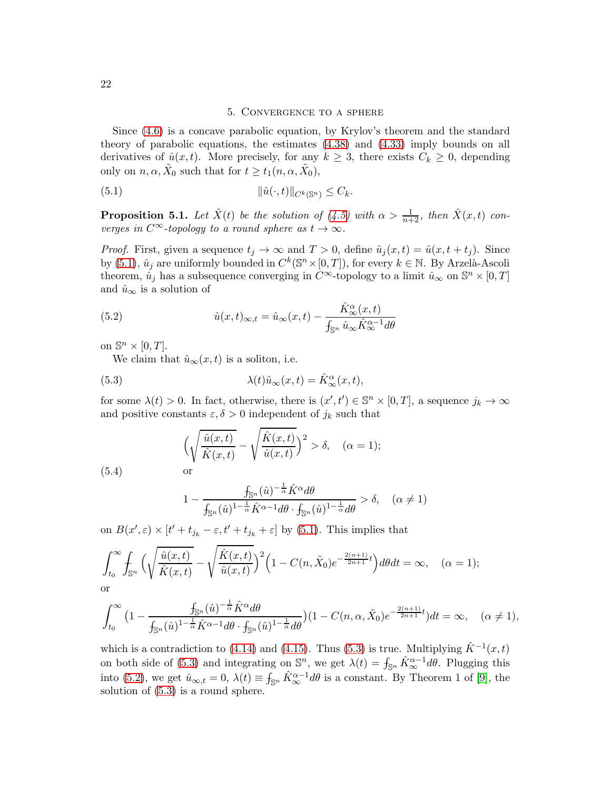### <span id="page-21-0"></span>5. Convergence to a sphere

Since [\(4.6\)](#page-11-0) is a concave parabolic equation, by Krylov's theorem and the standard theory of parabolic equations, the estimates [\(4.38\)](#page-20-0) and [\(4.33\)](#page-19-1) imply bounds on all derivatives of  $\hat{u}(x, t)$ . More precisely, for any  $k \geq 3$ , there exists  $C_k \geq 0$ , depending only on  $n, \alpha, \tilde{X}_0$  such that for  $t \ge t_1(n, \alpha, \tilde{X}_0)$ ,

(5.1) kuˆ(·, t)kCk(Sn) ≤ Ck.

**Proposition 5.1.** Let  $\hat{X}(t)$  be the solution of [\(4.5\)](#page-11-2) with  $\alpha > \frac{1}{n+2}$ , then  $\hat{X}(x,t)$  converges in  $C^{\infty}$ -topology to a round sphere as  $t \to \infty$ .

*Proof.* First, given a sequence  $t_i \to \infty$  and  $T > 0$ , define  $\hat{u}_i(x, t) = \hat{u}(x, t + t_i)$ . Since by [\(5.1\)](#page-21-0),  $\hat{u}_j$  are uniformly bounded in  $C^k(\mathbb{S}^n\times[0,T])$ , for every  $k\in\mathbb{N}$ . By Arzelà-Ascoli theorem,  $\hat{u}_j$  has a subsequence converging in  $C^{\infty}$ -topology to a limit  $\hat{u}_{\infty}$  on  $\mathbb{S}^n \times [0, T]$ and  $\hat{u}_{\infty}$  is a solution of

(5.2) 
$$
\hat{u}(x,t)_{\infty,t} = \hat{u}_{\infty}(x,t) - \frac{\hat{K}_{\infty}^{\alpha}(x,t)}{\int_{\mathbb{S}^n} \hat{u}_{\infty} \hat{K}_{\infty}^{\alpha-1} d\theta}
$$

on  $\mathbb{S}^n \times [0,T]$ .

<span id="page-21-2"></span>We claim that  $\hat{u}_{\infty}(x,t)$  is a soliton, i.e.

(5.3) 
$$
\lambda(t)\hat{u}_{\infty}(x,t) = \hat{K}_{\infty}^{\alpha}(x,t),
$$

for some  $\lambda(t) > 0$ . In fact, otherwise, there is  $(x', t') \in \mathbb{S}^n \times [0, T]$ , a sequence  $j_k \to \infty$ and positive constants  $\varepsilon, \delta > 0$  independent of  $j_k$  such that

<span id="page-21-1"></span>
$$
\left(\sqrt{\frac{\hat{u}(x,t)}{\hat{K}(x,t)}} - \sqrt{\frac{\hat{K}(x,t)}{\hat{u}(x,t)}}\right)^2 > \delta, \quad (\alpha = 1);
$$
 or

(5.4)

$$
1 - \frac{\int_{\mathbb{S}^n} (\hat{u})^{-\frac{1}{\alpha}} \hat{K}^{\alpha} d\theta}{\int_{\mathbb{S}^n} (\hat{u})^{1-\frac{1}{\alpha}} \hat{K}^{\alpha-1} d\theta \cdot \int_{\mathbb{S}^n} (\hat{u})^{1-\frac{1}{\alpha}} d\theta} > \delta, \quad (\alpha \neq 1)
$$

on  $B(x',\varepsilon) \times [t' + t_{j_k} - \varepsilon, t' + t_{j_k} + \varepsilon]$  by [\(5.1\)](#page-21-0). This implies that

$$
\int_{t_0}^{\infty} \int_{\mathbb{S}^n} \Big( \sqrt{\frac{\hat{u}(x,t)}{\hat{K}(x,t)}} - \sqrt{\frac{\hat{K}(x,t)}{\hat{u}(x,t)}} \Big)^2 \Big( 1 - C(n,\tilde{X}_0) e^{-\frac{2(n+1)}{2n+1}t} \Big) d\theta dt = \infty, \quad (\alpha = 1);
$$

or

$$
\int_{t_0}^{\infty} \left(1 - \frac{f_{\mathbb{S}^n}(\hat{u})^{-\frac{1}{\alpha}} \hat{K}^{\alpha} d\theta}{f_{\mathbb{S}^n}(\hat{u})^{1-\frac{1}{\alpha}} \hat{K}^{\alpha-1} d\theta \cdot f_{\mathbb{S}^n}(\hat{u})^{1-\frac{1}{\alpha}} d\theta}\right) (1 - C(n, \alpha, \tilde{X}_0) e^{-\frac{2(n+1)}{2n+1}t} ) dt = \infty, \quad (\alpha \neq 1),
$$

which is a contradiction to [\(4.14\)](#page-14-1) and [\(4.15\)](#page-14-2). Thus [\(5.3\)](#page-21-1) is true. Multiplying  $\hat{K}^{-1}(x,t)$ on both side of [\(5.3\)](#page-21-1) and integrating on  $\mathbb{S}^n$ , we get  $\lambda(t) = \int_{\mathbb{S}^n} \hat{K}_{\infty}^{\alpha-1} d\theta$ . Plugging this into [\(5.2\)](#page-21-2), we get  $\hat{u}_{\infty,t} = 0$ ,  $\lambda(t) \equiv \int_{\mathbb{S}^n} \hat{K}_{\infty}^{\alpha-1} d\theta$  is a constant. By Theorem 1 of [\[9\]](#page-22-8), the solution of [\(5.3\)](#page-21-1) is a round sphere.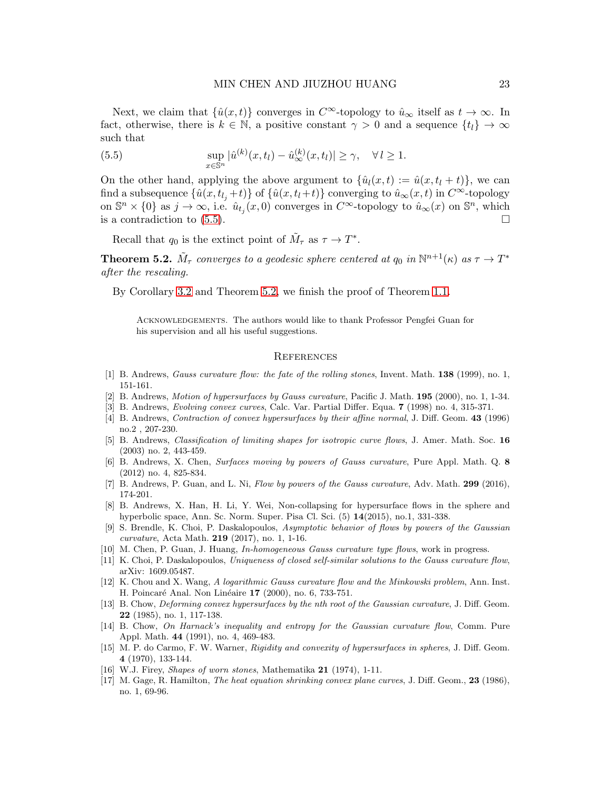Next, we claim that  $\{\hat{u}(x,t)\}\)$  converges in  $C^{\infty}$ -topology to  $\hat{u}_{\infty}$  itself as  $t \to \infty$ . In fact, otherwise, there is  $k \in \mathbb{N}$ , a positive constant  $\gamma > 0$  and a sequence  $\{t_l\} \to \infty$ such that

<span id="page-22-13"></span>(5.5) 
$$
\sup_{x \in \mathbb{S}^n} |\hat{u}^{(k)}(x,t_l) - \hat{u}_{\infty}^{(k)}(x,t_l)| \geq \gamma, \quad \forall l \geq 1.
$$

On the other hand, applying the above argument to  $\{\hat{u}_l(x,t) := \hat{u}(x,t_l + t)\}\,$ , we can find a subsequence  $\{\hat{u}(x, t_{l_i} + t)\}\$  of  $\{\hat{u}(x, t_l + t)\}\$ converging to  $\hat{u}_{\infty}(x, t)$  in  $C^{\infty}$ -topology on  $\mathbb{S}^n \times \{0\}$  as  $j \to \infty$ , i.e.  $\hat{u}_{t_j}(x, 0)$  converges in  $C^{\infty}$ -topology to  $\hat{u}_{\infty}(x)$  on  $\mathbb{S}^n$ , which is a contradiction to  $(5.5)$ .

Recall that  $q_0$  is the extinct point of  $\tilde{M}_{\tau}$  as  $\tau \to T^*$ .

<span id="page-22-14"></span>**Theorem 5.2.**  $\tilde{M}_{\tau}$  converges to a geodesic sphere centered at  $q_0$  in  $\mathbb{N}^{n+1}(\kappa)$  as  $\tau \to T^*$ after the rescaling.

By Corollary [3.2](#page-6-5) and Theorem [5.2,](#page-22-14) we finish the proof of Theorem [1.1.](#page-1-1)

Acknowledgements. The authors would like to thank Professor Pengfei Guan for his supervision and all his useful suggestions.

#### **REFERENCES**

- [1] B. Andrews, *Gauss curvature flow: the fate of the rolling stones*, Invent. Math. **138** (1999), no. 1, 151-161.
- <span id="page-22-2"></span>[2] B. Andrews, Motion of hypersurfaces by Gauss curvature, Pacific J. Math. 195 (2000), no. 1, 1-34.
- <span id="page-22-5"></span>[3] B. Andrews, Evolving convex curves, Calc. Var. Partial Differ. Equa. 7 (1998) no. 4, 315-371.
- [4] B. Andrews, *Contraction of convex hypersurfaces by their affine normal*, J. Diff. Geom. **43** (1996) no.2 , 207-230.
- <span id="page-22-3"></span>[5] B. Andrews, Classification of limiting shapes for isotropic curve flows, J. Amer. Math. Soc. 16 (2003) no. 2, 443-459.
- <span id="page-22-4"></span>[6] B. Andrews, X. Chen, Surfaces moving by powers of Gauss curvature, Pure Appl. Math. Q. 8 (2012) no. 4, 825-834.
- <span id="page-22-9"></span><span id="page-22-6"></span>[7] B. Andrews, P. Guan, and L. Ni, Flow by powers of the Gauss curvature, Adv. Math. 299 (2016), 174-201.
- [8] B. Andrews, X. Han, H. Li, Y. Wei, Non-collapsing for hypersurface flows in the sphere and hyperbolic space, Ann. Sc. Norm. Super. Pisa Cl. Sci. (5) 14(2015), no.1, 331-338.
- <span id="page-22-8"></span>[9] S. Brendle, K. Choi, P. Daskalopoulos, Asymptotic behavior of flows by powers of the Gaussian curvature, Acta Math. 219 (2017), no. 1, 1-16.
- <span id="page-22-12"></span><span id="page-22-7"></span>[10] M. Chen, P. Guan, J. Huang, In-homogeneous Gauss curvature type flows, work in progress.
- <span id="page-22-11"></span>[11] K. Choi, P. Daskalopoulos, Uniqueness of closed self-similar solutions to the Gauss curvature flow, arXiv: 1609.05487.
- [12] K. Chou and X. Wang, A logarithmic Gauss curvature flow and the Minkowski problem, Ann. Inst. H. Poincaré Anal. Non Linéaire 17 (2000), no. 6, 733-751.
- [13] B. Chow, Deforming convex hypersurfaces by the nth root of the Gaussian curvature, J. Diff. Geom. 22 (1985), no. 1, 117-138.
- [14] B. Chow, On Harnack's inequality and entropy for the Gaussian curvature flow, Comm. Pure Appl. Math. 44 (1991), no. 4, 469-483.
- <span id="page-22-10"></span>[15] M. P. do Carmo, F. W. Warner, Rigidity and convexity of hypersurfaces in spheres, J. Diff. Geom. 4 (1970), 133-144.
- <span id="page-22-1"></span><span id="page-22-0"></span>[16] W.J. Firey, *Shapes of worn stones*, Mathematika 21 (1974), 1-11.
- [17] M. Gage, R. Hamilton, *The heat equation shrinking convex plane curves*, J. Diff. Geom., **23** (1986), no. 1, 69-96.